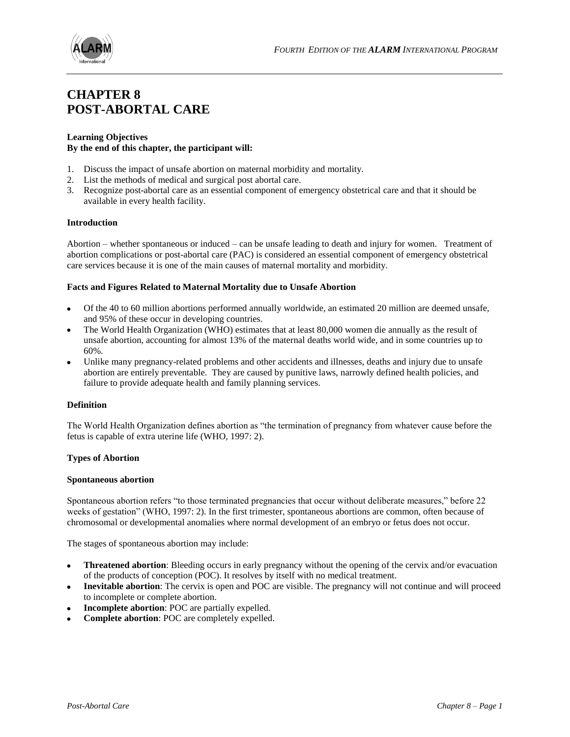

# **CHAPTER 8 POST-ABORTAL CARE**

#### **Learning Objectives By the end of this chapter, the participant will:**

- 1. Discuss the impact of unsafe abortion on maternal morbidity and mortality.
- 2. List the methods of medical and surgical post abortal care.
- 3. Recognize post-abortal care as an essential component of emergency obstetrical care and that it should be available in every health facility.

#### **Introduction**

Abortion – whether spontaneous or induced – can be unsafe leading to death and injury for women. Treatment of abortion complications or post-abortal care (PAC) is considered an essential component of emergency obstetrical care services because it is one of the main causes of maternal mortality and morbidity.

#### **Facts and Figures Related to Maternal Mortality due to Unsafe Abortion**

- Of the 40 to 60 million abortions performed annually worldwide, an estimated 20 million are deemed unsafe, and 95% of these occur in developing countries.
- The World Health Organization (WHO) estimates that at least 80,000 women die annually as the result of unsafe abortion, accounting for almost 13% of the maternal deaths world wide, and in some countries up to 60%.
- Unlike many pregnancy-related problems and other accidents and illnesses, deaths and injury due to unsafe abortion are entirely preventable. They are caused by punitive laws, narrowly defined health policies, and failure to provide adequate health and family planning services.

#### **Definition**

The World Health Organization defines abortion as "the termination of pregnancy from whatever cause before the fetus is capable of extra uterine life (WHO, 1997: 2).

#### **Types of Abortion**

#### **Spontaneous abortion**

Spontaneous abortion refers "to those terminated pregnancies that occur without deliberate measures," before 22 weeks of gestation" (WHO, 1997: 2). In the first trimester, spontaneous abortions are common, often because of chromosomal or developmental anomalies where normal development of an embryo or fetus does not occur.

The stages of spontaneous abortion may include:

- **Threatened abortion**: Bleeding occurs in early pregnancy without the opening of the cervix and/or evacuation of the products of conception (POC). It resolves by itself with no medical treatment.
- **Inevitable abortion**: The cervix is open and POC are visible. The pregnancy will not continue and will proceed to incomplete or complete abortion.
- **Incomplete abortion**: POC are partially expelled.
- **Complete abortion**: POC are completely expelled.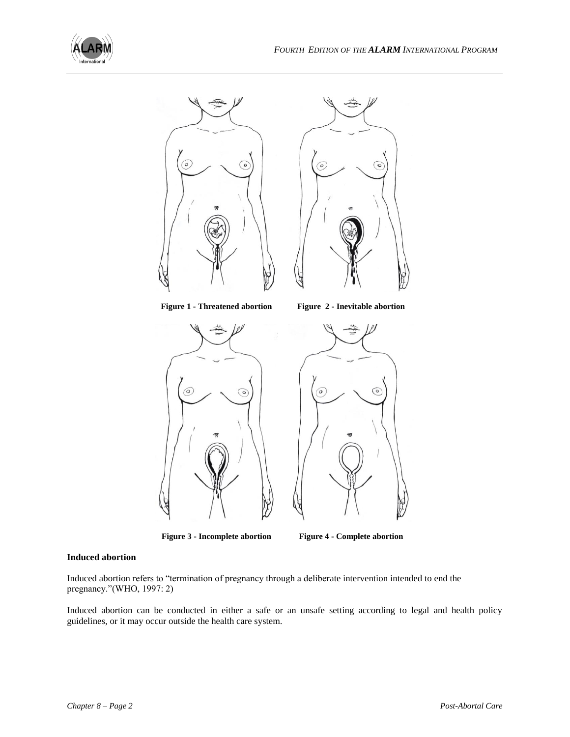



**Figure 3 - Incomplete abortion Figure 4 - Complete abortion**



#### **Induced abortion**

Induced abortion refers to "termination of pregnancy through a deliberate intervention intended to end the pregnancy."(WHO, 1997: 2)

Induced abortion can be conducted in either a safe or an unsafe setting according to legal and health policy guidelines, or it may occur outside the health care system.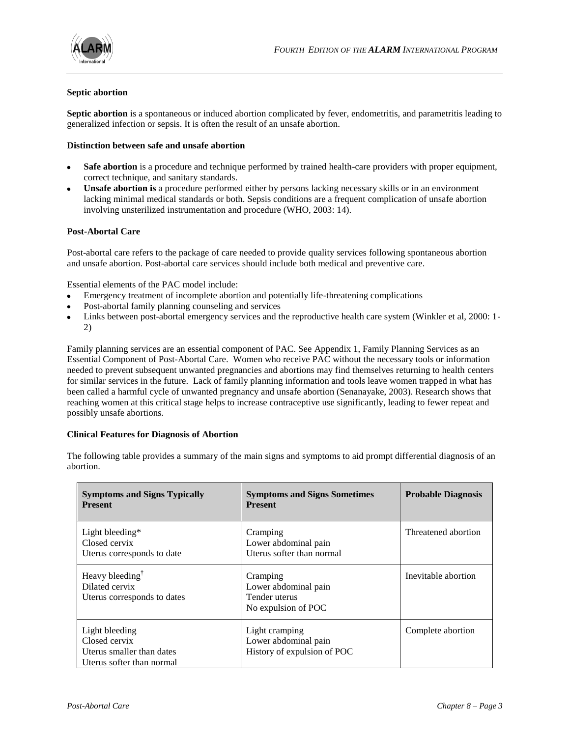

#### **Septic abortion**

**Septic abortion** is a spontaneous or induced abortion complicated by fever, endometritis, and parametritis leading to generalized infection or sepsis. It is often the result of an unsafe abortion.

#### **Distinction between safe and unsafe abortion**

- **Safe abortion** is a procedure and technique performed by trained health-care providers with proper equipment, correct technique, and sanitary standards.
- **Unsafe abortion is** a procedure performed either by persons lacking necessary skills or in an environment lacking minimal medical standards or both. Sepsis conditions are a frequent complication of unsafe abortion involving unsterilized instrumentation and procedure (WHO, 2003: 14).

#### **Post-Abortal Care**

Post-abortal care refers to the package of care needed to provide quality services following spontaneous abortion and unsafe abortion. Post-abortal care services should include both medical and preventive care.

Essential elements of the PAC model include:

- Emergency treatment of incomplete abortion and potentially life-threatening complications
- Post-abortal family planning counseling and services
- Links between post-abortal emergency services and the reproductive health care system (Winkler et al, 2000: 1- 2)

Family planning services are an essential component of PAC. See Appendix 1, Family Planning Services as an Essential Component of Post-Abortal Care. Women who receive PAC without the necessary tools or information needed to prevent subsequent unwanted pregnancies and abortions may find themselves returning to health centers for similar services in the future. Lack of family planning information and tools leave women trapped in what has been called a harmful cycle of unwanted pregnancy and unsafe abortion (Senanayake, 2003). Research shows that reaching women at this critical stage helps to increase contraceptive use significantly, leading to fewer repeat and possibly unsafe abortions.

#### **Clinical Features for Diagnosis of Abortion**

| <b>Symptoms and Signs Typically</b><br><b>Present</b>                                     | <b>Symptoms and Signs Sometimes</b><br><b>Present</b>                    | <b>Probable Diagnosis</b> |
|-------------------------------------------------------------------------------------------|--------------------------------------------------------------------------|---------------------------|
| Light bleeding $*$<br>Closed cervix<br>Uterus corresponds to date                         | Cramping<br>Lower abdominal pain<br>Uterus softer than normal            | Threatened abortion       |
| Heavy bleeding <sup>†</sup><br>Dilated cervix<br>Uterus corresponds to dates              | Cramping<br>Lower abdominal pain<br>Tender uterus<br>No expulsion of POC | Inevitable abortion       |
| Light bleeding<br>Closed cervix<br>Uterus smaller than dates<br>Uterus softer than normal | Light cramping<br>Lower abdominal pain<br>History of expulsion of POC    | Complete abortion         |

The following table provides a summary of the main signs and symptoms to aid prompt differential diagnosis of an abortion.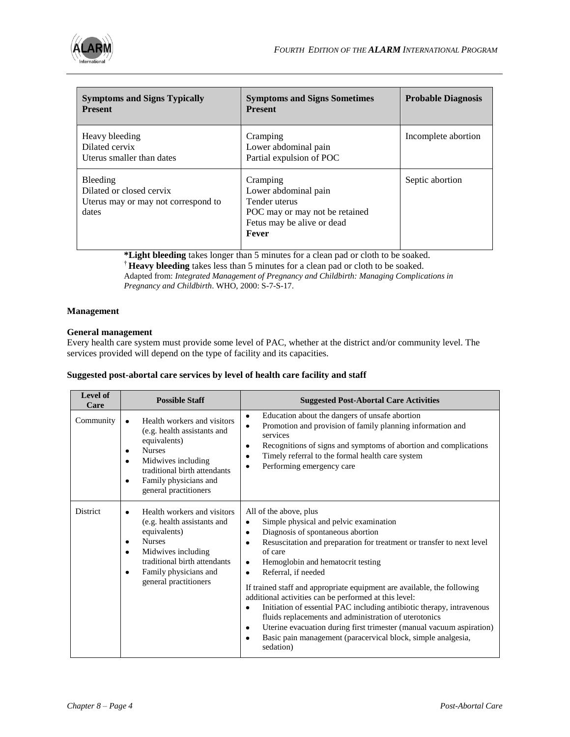

| <b>Symptoms and Signs Typically</b><br><b>Present</b>                                | <b>Symptoms and Signs Sometimes</b><br><b>Present</b>                                                                             | <b>Probable Diagnosis</b> |
|--------------------------------------------------------------------------------------|-----------------------------------------------------------------------------------------------------------------------------------|---------------------------|
| Heavy bleeding<br>Dilated cervix<br>Uterus smaller than dates                        | Cramping<br>Lower abdominal pain<br>Partial expulsion of POC                                                                      | Incomplete abortion       |
| Bleeding<br>Dilated or closed cervix<br>Uterus may or may not correspond to<br>dates | Cramping<br>Lower abdominal pain<br>Tender uterus<br>POC may or may not be retained<br>Fetus may be alive or dead<br><b>Fever</b> | Septic abortion           |

**\*Light bleeding** takes longer than 5 minutes for a clean pad or cloth to be soaked.

† **Heavy bleeding** takes less than 5 minutes for a clean pad or cloth to be soaked.

Adapted from: *Integrated Management of Pregnancy and Childbirth: Managing Complications in Pregnancy and Childbirth*. WHO, 2000: S-7-S-17.

#### **Management**

#### **General management**

Every health care system must provide some level of PAC, whether at the district and/or community level. The services provided will depend on the type of facility and its capacities.

#### **Suggested post-abortal care services by level of health care facility and staff**

| Level of<br>Care | <b>Possible Staff</b>                                                                                                                                                                                                              | <b>Suggested Post-Abortal Care Activities</b>                                                                                                                                                                                                                                                                                                                                                                                                                                                                                                                                                                                                                                                                                    |
|------------------|------------------------------------------------------------------------------------------------------------------------------------------------------------------------------------------------------------------------------------|----------------------------------------------------------------------------------------------------------------------------------------------------------------------------------------------------------------------------------------------------------------------------------------------------------------------------------------------------------------------------------------------------------------------------------------------------------------------------------------------------------------------------------------------------------------------------------------------------------------------------------------------------------------------------------------------------------------------------------|
| Community        | Health workers and visitors<br>$\bullet$<br>(e.g. health assistants and<br>equivalents)<br><b>Nurses</b><br>٠<br>Midwives including<br>traditional birth attendants<br>Family physicians and<br>$\bullet$<br>general practitioners | Education about the dangers of unsafe abortion<br>$\bullet$<br>Promotion and provision of family planning information and<br>$\bullet$<br>services<br>Recognitions of signs and symptoms of abortion and complications<br>٠<br>Timely referral to the formal health care system<br>٠<br>Performing emergency care                                                                                                                                                                                                                                                                                                                                                                                                                |
| <b>District</b>  | Health workers and visitors<br>٠<br>(e.g. health assistants and<br>equivalents)<br><b>Nurses</b><br>٠<br>Midwives including<br>٠<br>traditional birth attendants<br>Family physicians and<br>٠<br>general practitioners            | All of the above, plus<br>Simple physical and pelvic examination<br>٠<br>Diagnosis of spontaneous abortion<br>٠<br>Resuscitation and preparation for treatment or transfer to next level<br>٠<br>of care<br>Hemoglobin and hematocrit testing<br>٠<br>Referral, if needed<br>٠<br>If trained staff and appropriate equipment are available, the following<br>additional activities can be performed at this level:<br>Initiation of essential PAC including antibiotic therapy, intravenous<br>٠<br>fluids replacements and administration of uterotonics<br>Uterine evacuation during first trimester (manual vacuum aspiration)<br>٠<br>Basic pain management (paracervical block, simple analgesia,<br>$\bullet$<br>sedation) |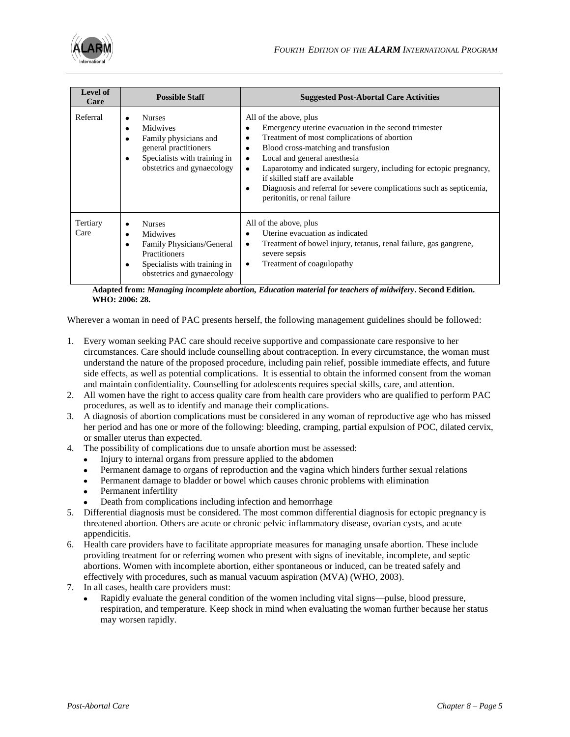

| <b>Level of</b><br>Care | <b>Possible Staff</b>                                                                                                                                         | <b>Suggested Post-Abortal Care Activities</b>                                                                                                                                                                                                                                                                                                                                                                              |
|-------------------------|---------------------------------------------------------------------------------------------------------------------------------------------------------------|----------------------------------------------------------------------------------------------------------------------------------------------------------------------------------------------------------------------------------------------------------------------------------------------------------------------------------------------------------------------------------------------------------------------------|
| Referral                | <b>Nurses</b><br><b>Midwives</b><br>$\bullet$<br>Family physicians and<br>general practitioners<br>Specialists with training in<br>obstetrics and gynaecology | All of the above, plus<br>Emergency uterine evacuation in the second trimester<br>Treatment of most complications of abortion<br>Blood cross-matching and transfusion<br>Local and general anesthesia<br>Laparotomy and indicated surgery, including for ectopic pregnancy,<br>٠<br>if skilled staff are available<br>Diagnosis and referral for severe complications such as septicemia,<br>peritonitis, or renal failure |
| Tertiary<br>Care        | <b>Nurses</b><br><b>Midwives</b><br>Family Physicians/General<br>Practitioners<br>Specialists with training in<br>٠<br>obstetrics and gynaecology             | All of the above, plus<br>Uterine evacuation as indicated<br>٠<br>Treatment of bowel injury, tetanus, renal failure, gas gangrene,<br>٠<br>severe sepsis<br>Treatment of coagulopathy                                                                                                                                                                                                                                      |

**Adapted from:** *Managing incomplete abortion, Education material for teachers of midwifery***. Second Edition. WHO: 2006: 28.**

Wherever a woman in need of PAC presents herself, the following management guidelines should be followed:

- 1. Every woman seeking PAC care should receive supportive and compassionate care responsive to her circumstances. Care should include counselling about contraception. In every circumstance, the woman must understand the nature of the proposed procedure, including pain relief, possible immediate effects, and future side effects, as well as potential complications. It is essential to obtain the informed consent from the woman and maintain confidentiality. Counselling for adolescents requires special skills, care, and attention.
- 2. All women have the right to access quality care from health care providers who are qualified to perform PAC procedures, as well as to identify and manage their complications.
- 3. A diagnosis of abortion complications must be considered in any woman of reproductive age who has missed her period and has one or more of the following: bleeding, cramping, partial expulsion of POC, dilated cervix, or smaller uterus than expected.
- 4. The possibility of complications due to unsafe abortion must be assessed:
	- Injury to internal organs from pressure applied to the abdomen
	- Permanent damage to organs of reproduction and the vagina which hinders further sexual relations
	- Permanent damage to bladder or bowel which causes chronic problems with elimination  $\bullet$
	- Permanent infertility
	- Death from complications including infection and hemorrhage
- 5. Differential diagnosis must be considered. The most common differential diagnosis for ectopic pregnancy is threatened abortion. Others are acute or chronic pelvic inflammatory disease, ovarian cysts, and acute appendicitis.
- 6. Health care providers have to facilitate appropriate measures for managing unsafe abortion. These include providing treatment for or referring women who present with signs of inevitable, incomplete, and septic abortions. Women with incomplete abortion, either spontaneous or induced, can be treated safely and effectively with procedures, such as manual vacuum aspiration (MVA) (WHO, 2003).
- 7. In all cases, health care providers must:
	- Rapidly evaluate the general condition of the women including vital signs—pulse, blood pressure, respiration, and temperature. Keep shock in mind when evaluating the woman further because her status may worsen rapidly.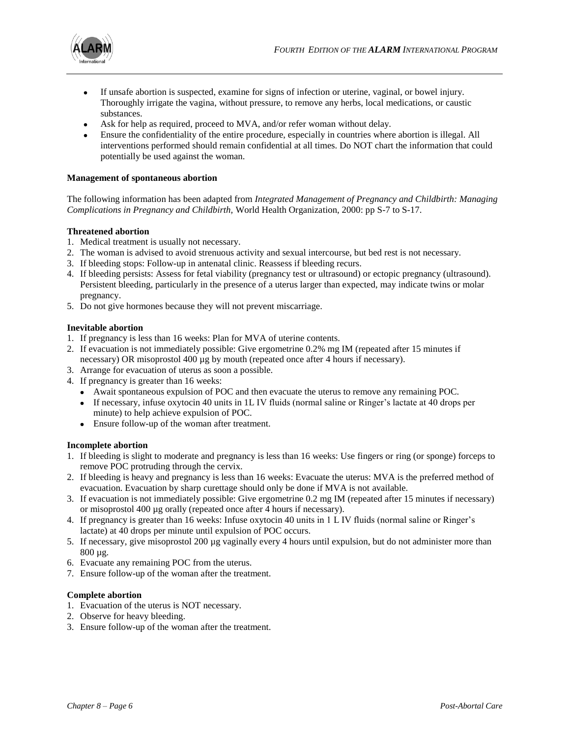

- If unsafe abortion is suspected, examine for signs of infection or uterine, vaginal, or bowel injury.  $\bullet$ Thoroughly irrigate the vagina, without pressure, to remove any herbs, local medications, or caustic substances.
- Ask for help as required, proceed to MVA, and/or refer woman without delay.
- Ensure the confidentiality of the entire procedure, especially in countries where abortion is illegal. All interventions performed should remain confidential at all times. Do NOT chart the information that could potentially be used against the woman.

#### **Management of spontaneous abortion**

The following information has been adapted from *Integrated Management of Pregnancy and Childbirth: Managing Complications in Pregnancy and Childbirth,* World Health Organization, 2000: pp S-7 to S-17.

#### **Threatened abortion**

- 1. Medical treatment is usually not necessary.
- 2. The woman is advised to avoid strenuous activity and sexual intercourse, but bed rest is not necessary.
- 3. If bleeding stops: Follow-up in antenatal clinic. Reassess if bleeding recurs.
- 4. If bleeding persists: Assess for fetal viability (pregnancy test or ultrasound) or ectopic pregnancy (ultrasound). Persistent bleeding, particularly in the presence of a uterus larger than expected, may indicate twins or molar pregnancy.
- 5. Do not give hormones because they will not prevent miscarriage.

#### **Inevitable abortion**

- 1. If pregnancy is less than 16 weeks: Plan for MVA of uterine contents.
- 2. If evacuation is not immediately possible: Give ergometrine 0.2% mg IM (repeated after 15 minutes if necessary) OR misoprostol 400 µg by mouth (repeated once after 4 hours if necessary).
- 3. Arrange for evacuation of uterus as soon a possible.
- 4. If pregnancy is greater than 16 weeks:
	- Await spontaneous expulsion of POC and then evacuate the uterus to remove any remaining POC.
	- If necessary, infuse oxytocin 40 units in 1L IV fluids (normal saline or Ringer's lactate at 40 drops per minute) to help achieve expulsion of POC.
	- Ensure follow-up of the woman after treatment.

#### **Incomplete abortion**

- 1. If bleeding is slight to moderate and pregnancy is less than 16 weeks: Use fingers or ring (or sponge) forceps to remove POC protruding through the cervix.
- 2. If bleeding is heavy and pregnancy is less than 16 weeks: Evacuate the uterus: MVA is the preferred method of evacuation. Evacuation by sharp curettage should only be done if MVA is not available.
- 3. If evacuation is not immediately possible: Give ergometrine 0.2 mg IM (repeated after 15 minutes if necessary) or misoprostol 400 µg orally (repeated once after 4 hours if necessary).
- 4. If pregnancy is greater than 16 weeks: Infuse oxytocin 40 units in 1 L IV fluids (normal saline or Ringer's lactate) at 40 drops per minute until expulsion of POC occurs.
- 5. If necessary, give misoprostol 200 µg vaginally every 4 hours until expulsion, but do not administer more than 800 µg.
- 6. Evacuate any remaining POC from the uterus.
- 7. Ensure follow-up of the woman after the treatment.

#### **Complete abortion**

- 1. Evacuation of the uterus is NOT necessary.
- 2. Observe for heavy bleeding.
- 3. Ensure follow-up of the woman after the treatment.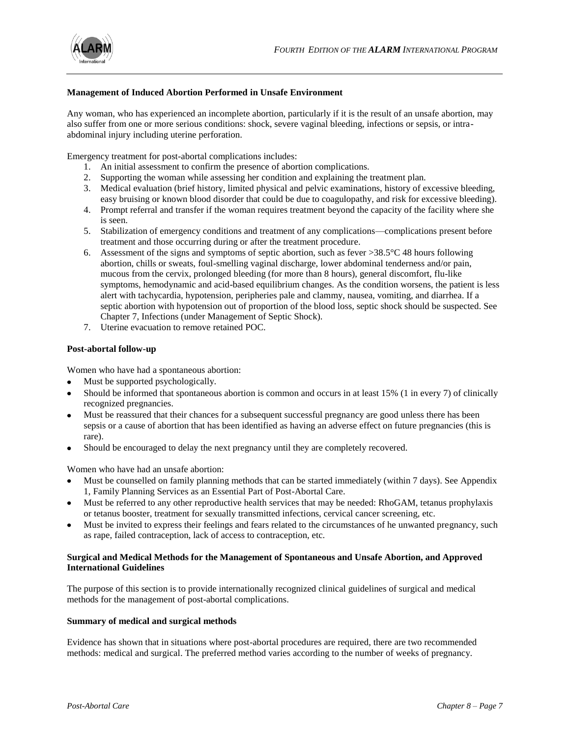

#### **Management of Induced Abortion Performed in Unsafe Environment**

Any woman, who has experienced an incomplete abortion, particularly if it is the result of an unsafe abortion, may also suffer from one or more serious conditions: shock, severe vaginal bleeding, infections or sepsis, or intraabdominal injury including uterine perforation.

Emergency treatment for post-abortal complications includes:

- 1. An initial assessment to confirm the presence of abortion complications.
- 2. Supporting the woman while assessing her condition and explaining the treatment plan.
- 3. Medical evaluation (brief history, limited physical and pelvic examinations, history of excessive bleeding, easy bruising or known blood disorder that could be due to coagulopathy, and risk for excessive bleeding).
- 4. Prompt referral and transfer if the woman requires treatment beyond the capacity of the facility where she is seen.
- 5. Stabilization of emergency conditions and treatment of any complications—complications present before treatment and those occurring during or after the treatment procedure.
- 6. Assessment of the signs and symptoms of septic abortion, such as fever >38.5°C 48 hours following abortion, chills or sweats, foul-smelling vaginal discharge, lower abdominal tenderness and/or pain, mucous from the cervix, prolonged bleeding (for more than 8 hours), general discomfort, flu-like symptoms, hemodynamic and acid-based equilibrium changes. As the condition worsens, the patient is less alert with tachycardia, hypotension, peripheries pale and clammy, nausea, vomiting, and diarrhea. If a septic abortion with hypotension out of proportion of the blood loss, septic shock should be suspected. See Chapter 7, Infections (under Management of Septic Shock).
- 7. Uterine evacuation to remove retained POC.

#### **Post-abortal follow-up**

Women who have had a spontaneous abortion:

- Must be supported psychologically.
- Should be informed that spontaneous abortion is common and occurs in at least 15% (1 in every 7) of clinically recognized pregnancies.
- Must be reassured that their chances for a subsequent successful pregnancy are good unless there has been sepsis or a cause of abortion that has been identified as having an adverse effect on future pregnancies (this is rare).
- Should be encouraged to delay the next pregnancy until they are completely recovered.

Women who have had an unsafe abortion:

- Must be counselled on family planning methods that can be started immediately (within 7 days). See Appendix 1, Family Planning Services as an Essential Part of Post-Abortal Care.
- Must be referred to any other reproductive health services that may be needed: RhoGAM, tetanus prophylaxis or tetanus booster, treatment for sexually transmitted infections, cervical cancer screening, etc.
- Must be invited to express their feelings and fears related to the circumstances of he unwanted pregnancy, such as rape, failed contraception, lack of access to contraception, etc.

#### **Surgical and Medical Methods for the Management of Spontaneous and Unsafe Abortion, and Approved International Guidelines**

The purpose of this section is to provide internationally recognized clinical guidelines of surgical and medical methods for the management of post-abortal complications.

#### **Summary of medical and surgical methods**

Evidence has shown that in situations where post-abortal procedures are required, there are two recommended methods: medical and surgical. The preferred method varies according to the number of weeks of pregnancy.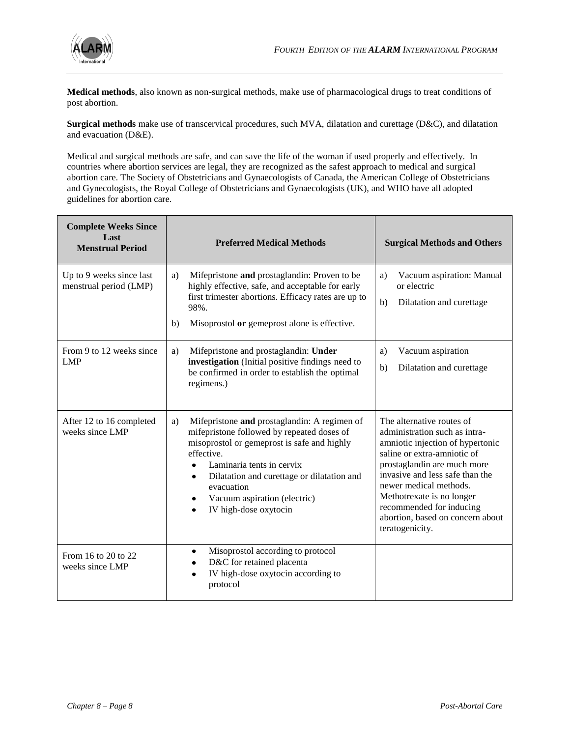

**Medical methods**, also known as non-surgical methods, make use of pharmacological drugs to treat conditions of post abortion.

**Surgical methods** make use of transcervical procedures, such MVA, dilatation and curettage (D&C), and dilatation and evacuation (D&E).

Medical and surgical methods are safe, and can save the life of the woman if used properly and effectively. In countries where abortion services are legal, they are recognized as the safest approach to medical and surgical abortion care. The Society of Obstetricians and Gynaecologists of Canada, the American College of Obstetricians and Gynecologists, the Royal College of Obstetricians and Gynaecologists (UK), and WHO have all adopted guidelines for abortion care.

| <b>Complete Weeks Since</b><br>Last<br><b>Menstrual Period</b> | <b>Preferred Medical Methods</b>                                                                                                                                                                                                                                                                                                          | <b>Surgical Methods and Others</b>                                                                                                                                                                                                                                                                                                        |
|----------------------------------------------------------------|-------------------------------------------------------------------------------------------------------------------------------------------------------------------------------------------------------------------------------------------------------------------------------------------------------------------------------------------|-------------------------------------------------------------------------------------------------------------------------------------------------------------------------------------------------------------------------------------------------------------------------------------------------------------------------------------------|
| Up to 9 weeks since last<br>menstrual period (LMP)             | Mifepristone and prostaglandin: Proven to be<br>a)<br>highly effective, safe, and acceptable for early<br>first trimester abortions. Efficacy rates are up to<br>98%.<br>Misoprostol or gemeprost alone is effective.<br>b)                                                                                                               | Vacuum aspiration: Manual<br>a)<br>or electric<br>b)<br>Dilatation and curettage                                                                                                                                                                                                                                                          |
| From 9 to 12 weeks since<br><b>LMP</b>                         | Mifepristone and prostaglandin: Under<br>a)<br>investigation (Initial positive findings need to<br>be confirmed in order to establish the optimal<br>regimens.)                                                                                                                                                                           | Vacuum aspiration<br>a)<br>b)<br>Dilatation and curettage                                                                                                                                                                                                                                                                                 |
| After 12 to 16 completed<br>weeks since LMP                    | Mifepristone and prostaglandin: A regimen of<br>a)<br>mifepristone followed by repeated doses of<br>misoprostol or gemeprost is safe and highly<br>effective.<br>Laminaria tents in cervix<br>$\bullet$<br>Dilatation and curettage or dilatation and<br>$\bullet$<br>evacuation<br>Vacuum aspiration (electric)<br>IV high-dose oxytocin | The alternative routes of<br>administration such as intra-<br>amniotic injection of hypertonic<br>saline or extra-amniotic of<br>prostaglandin are much more<br>invasive and less safe than the<br>newer medical methods.<br>Methotrexate is no longer<br>recommended for inducing<br>abortion, based on concern about<br>teratogenicity. |
| From 16 to 20 to 22<br>weeks since LMP                         | Misoprostol according to protocol<br>$\bullet$<br>D&C for retained placenta<br>IV high-dose oxytocin according to<br>$\bullet$<br>protocol                                                                                                                                                                                                |                                                                                                                                                                                                                                                                                                                                           |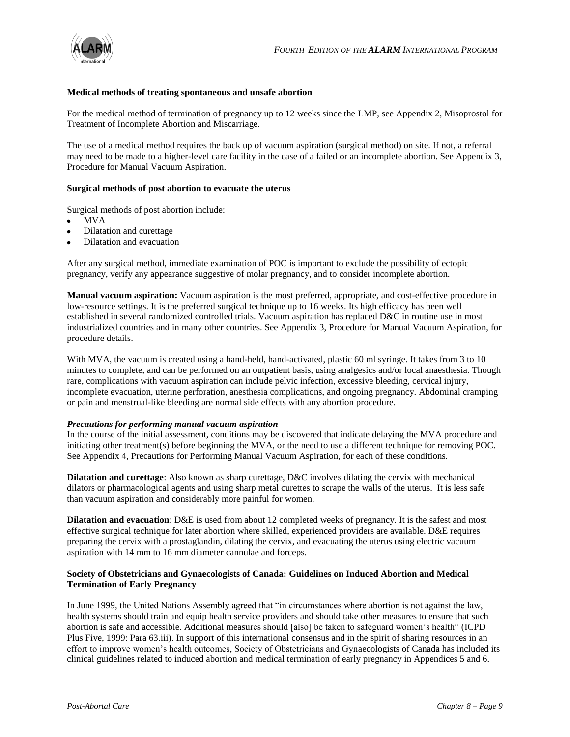

#### **Medical methods of treating spontaneous and unsafe abortion**

For the medical method of termination of pregnancy up to 12 weeks since the LMP, see Appendix 2, Misoprostol for Treatment of Incomplete Abortion and Miscarriage.

The use of a medical method requires the back up of vacuum aspiration (surgical method) on site. If not, a referral may need to be made to a higher-level care facility in the case of a failed or an incomplete abortion. See Appendix 3, Procedure for Manual Vacuum Aspiration.

#### **Surgical methods of post abortion to evacuate the uterus**

Surgical methods of post abortion include:

- MVA
- Dilatation and curettage
- Dilatation and evacuation

After any surgical method, immediate examination of POC is important to exclude the possibility of ectopic pregnancy, verify any appearance suggestive of molar pregnancy, and to consider incomplete abortion.

**Manual vacuum aspiration:** Vacuum aspiration is the most preferred, appropriate, and cost-effective procedure in low-resource settings. It is the preferred surgical technique up to 16 weeks. Its high efficacy has been well established in several randomized controlled trials. Vacuum aspiration has replaced D&C in routine use in most industrialized countries and in many other countries. See Appendix 3, Procedure for Manual Vacuum Aspiration, for procedure details.

With MVA, the vacuum is created using a hand-held, hand-activated, plastic 60 ml syringe. It takes from 3 to 10 minutes to complete, and can be performed on an outpatient basis, using analgesics and/or local anaesthesia. Though rare, complications with vacuum aspiration can include pelvic infection, excessive bleeding, cervical injury, incomplete evacuation, uterine perforation, anesthesia complications, and ongoing pregnancy. Abdominal cramping or pain and menstrual-like bleeding are normal side effects with any abortion procedure.

#### *Precautions for performing manual vacuum aspiration*

In the course of the initial assessment, conditions may be discovered that indicate delaying the MVA procedure and initiating other treatment(s) before beginning the MVA, or the need to use a different technique for removing POC. See Appendix 4, Precautions for Performing Manual Vacuum Aspiration, for each of these conditions.

**Dilatation and curettage**: Also known as sharp curettage, D&C involves dilating the cervix with mechanical dilators or pharmacological agents and using sharp metal curettes to scrape the walls of the uterus. It is less safe than vacuum aspiration and considerably more painful for women.

**Dilatation and evacuation**: D&E is used from about 12 completed weeks of pregnancy. It is the safest and most effective surgical technique for later abortion where skilled, experienced providers are available. D&E requires preparing the cervix with a prostaglandin, dilating the cervix, and evacuating the uterus using electric vacuum aspiration with 14 mm to 16 mm diameter cannulae and forceps.

#### **Society of Obstetricians and Gynaecologists of Canada: Guidelines on Induced Abortion and Medical Termination of Early Pregnancy**

In June 1999, the United Nations Assembly agreed that "in circumstances where abortion is not against the law, health systems should train and equip health service providers and should take other measures to ensure that such abortion is safe and accessible. Additional measures should [also] be taken to safeguard women's health" (ICPD Plus Five, 1999: Para 63.iii). In support of this international consensus and in the spirit of sharing resources in an effort to improve women's health outcomes, Society of Obstetricians and Gynaecologists of Canada has included its clinical guidelines related to induced abortion and medical termination of early pregnancy in Appendices 5 and 6.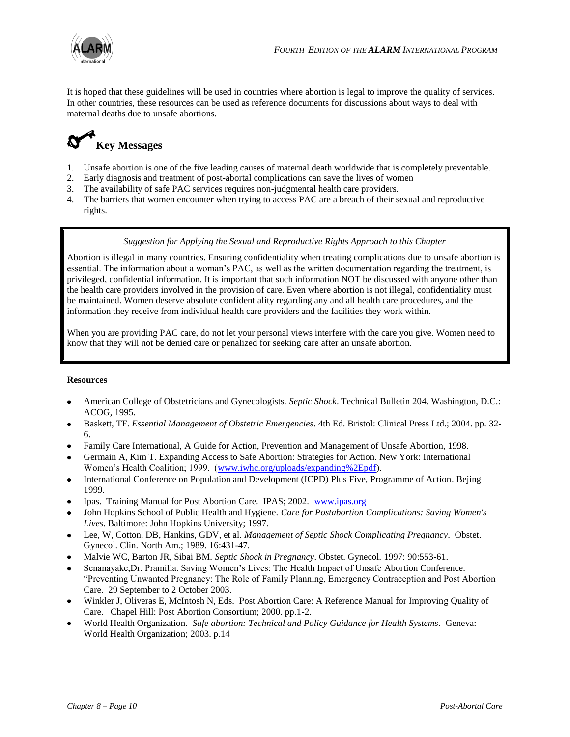

It is hoped that these guidelines will be used in countries where abortion is legal to improve the quality of services. In other countries, these resources can be used as reference documents for discussions about ways to deal with maternal deaths due to unsafe abortions.



- 1. Unsafe abortion is one of the five leading causes of maternal death worldwide that is completely preventable.
- 2. Early diagnosis and treatment of post-abortal complications can save the lives of women
- 3. The availability of safe PAC services requires non-judgmental health care providers.
- 4. The barriers that women encounter when trying to access PAC are a breach of their sexual and reproductive rights.

#### *Suggestion for Applying the Sexual and Reproductive Rights Approach to this Chapter*

Abortion is illegal in many countries. Ensuring confidentiality when treating complications due to unsafe abortion is essential. The information about a woman's PAC, as well as the written documentation regarding the treatment, is privileged, confidential information. It is important that such information NOT be discussed with anyone other than the health care providers involved in the provision of care. Even where abortion is not illegal, confidentiality must be maintained. Women deserve absolute confidentiality regarding any and all health care procedures, and the information they receive from individual health care providers and the facilities they work within.

When you are providing PAC care, do not let your personal views interfere with the care you give. Women need to know that they will not be denied care or penalized for seeking care after an unsafe abortion.

#### **Resources**

- American College of Obstetricians and Gynecologists. *Septic Shock*. Technical Bulletin 204. Washington, D.C.: ACOG, 1995.
- Baskett, TF. *Essential Management of Obstetric Emergencies*. 4th Ed. Bristol: Clinical Press Ltd.; 2004. pp. 32-  $\bullet$ 6.
- Family Care International, A Guide for Action, Prevention and Management of Unsafe Abortion, 1998.
- Germain A, Kim T. Expanding Access to Safe Abortion: Strategies for Action. New York: International Women's Health Coalition; 1999. [\(www.iwhc.org/uploads/expanding%2Epdf\)](http://www.iwhc.org/uploads/expanding.pdf).
- International Conference on Population and Development (ICPD) Plus Five, Programme of Action. Bejing 1999.
- Ipas. Training Manual for Post Abortion Care. IPAS; 2002. [www.ipas.org](http://www.ipas.org/)
- John Hopkins School of Public Health and Hygiene. *Care for Postabortion Complications: Saving Women's Lives*. Baltimore: John Hopkins University; 1997.
- Lee, W, Cotton, DB, Hankins, GDV, et al. *Management of Septic Shock Complicating Pregnancy*. Obstet. Gynecol. Clin. North Am.; 1989. 16:431-47.
- Malvie WC, Barton JR, Sibai BM. *Septic Shock in Pregnancy*. Obstet. Gynecol*.* 1997: 90:553-61.
- Senanayake,Dr. Pramilla. Saving Women's Lives: The Health Impact of Unsafe Abortion Conference. ―Preventing Unwanted Pregnancy: The Role of Family Planning, Emergency Contraception and Post Abortion Care. 29 September to 2 October 2003.
- Winkler J, Oliveras E, McIntosh N, Eds. Post Abortion Care: A Reference Manual for Improving Quality of Care. Chapel Hill: Post Abortion Consortium; 2000. pp.1-2.
- World Health Organization. *Safe abortion: Technical and Policy Guidance for Health Systems*. Geneva: World Health Organization; 2003. p.14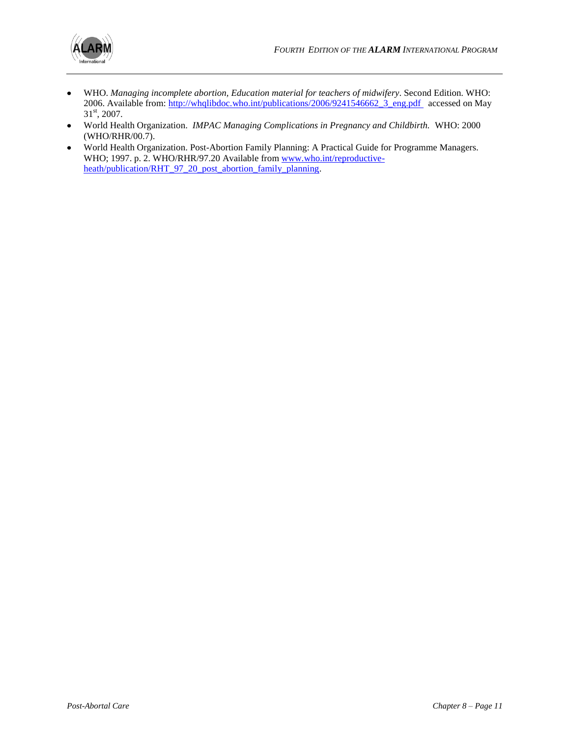

- WHO. *Managing incomplete abortion, Education material for teachers of midwifery*. Second Edition. WHO:  $\bullet$ 2006. Available from: [http://whqlibdoc.who.int/publications/2006/9241546662\\_3\\_eng.pdf](http://whqlibdoc.who.int/publications/2006/9241546662_3_eng.pdf) accessed on May 31st, 2007.
- World Health Organization. *IMPAC Managing Complications in Pregnancy and Childbirth.* WHO: 2000  $\bullet$ (WHO/RHR/00.7).
- World Health Organization. Post-Abortion Family Planning: A Practical Guide for Programme Managers.  $\bullet$ WHO; 1997. p. 2. WHO/RHR/97.20 Available from www.who.int/reproductiveheath/publication/RHT\_97\_20\_post\_abortion\_family\_planning.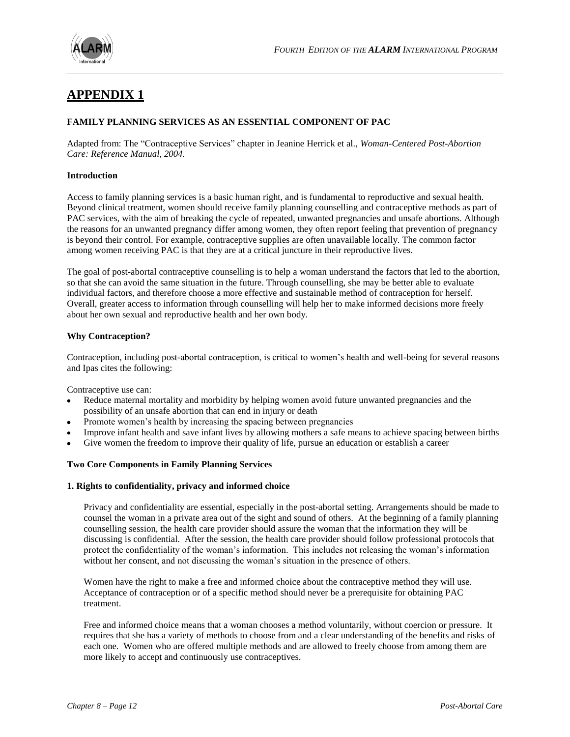

# **APPENDIX 1**

#### **FAMILY PLANNING SERVICES AS AN ESSENTIAL COMPONENT OF PAC**

Adapted from: The "Contraceptive Services" chapter in Jeanine Herrick et al., *Woman-Centered Post-Abortion Care: Reference Manual, 2004.* 

#### **Introduction**

Access to family planning services is a basic human right, and is fundamental to reproductive and sexual health. Beyond clinical treatment, women should receive family planning counselling and contraceptive methods as part of PAC services, with the aim of breaking the cycle of repeated, unwanted pregnancies and unsafe abortions. Although the reasons for an unwanted pregnancy differ among women, they often report feeling that prevention of pregnancy is beyond their control. For example, contraceptive supplies are often unavailable locally. The common factor among women receiving PAC is that they are at a critical juncture in their reproductive lives.

The goal of post-abortal contraceptive counselling is to help a woman understand the factors that led to the abortion, so that she can avoid the same situation in the future. Through counselling, she may be better able to evaluate individual factors, and therefore choose a more effective and sustainable method of contraception for herself. Overall, greater access to information through counselling will help her to make informed decisions more freely about her own sexual and reproductive health and her own body.

#### **Why Contraception?**

Contraception, including post-abortal contraception, is critical to women's health and well-being for several reasons and Ipas cites the following:

Contraceptive use can:

- Reduce maternal mortality and morbidity by helping women avoid future unwanted pregnancies and the possibility of an unsafe abortion that can end in injury or death
- Promote women's health by increasing the spacing between pregnancies
- Improve infant health and save infant lives by allowing mothers a safe means to achieve spacing between births
- Give women the freedom to improve their quality of life, pursue an education or establish a career

#### **Two Core Components in Family Planning Services**

#### **1. Rights to confidentiality, privacy and informed choice**

Privacy and confidentiality are essential, especially in the post-abortal setting. Arrangements should be made to counsel the woman in a private area out of the sight and sound of others. At the beginning of a family planning counselling session, the health care provider should assure the woman that the information they will be discussing is confidential. After the session, the health care provider should follow professional protocols that protect the confidentiality of the woman's information. This includes not releasing the woman's information without her consent, and not discussing the woman's situation in the presence of others.

Women have the right to make a free and informed choice about the contraceptive method they will use. Acceptance of contraception or of a specific method should never be a prerequisite for obtaining PAC treatment.

Free and informed choice means that a woman chooses a method voluntarily, without coercion or pressure. It requires that she has a variety of methods to choose from and a clear understanding of the benefits and risks of each one. Women who are offered multiple methods and are allowed to freely choose from among them are more likely to accept and continuously use contraceptives.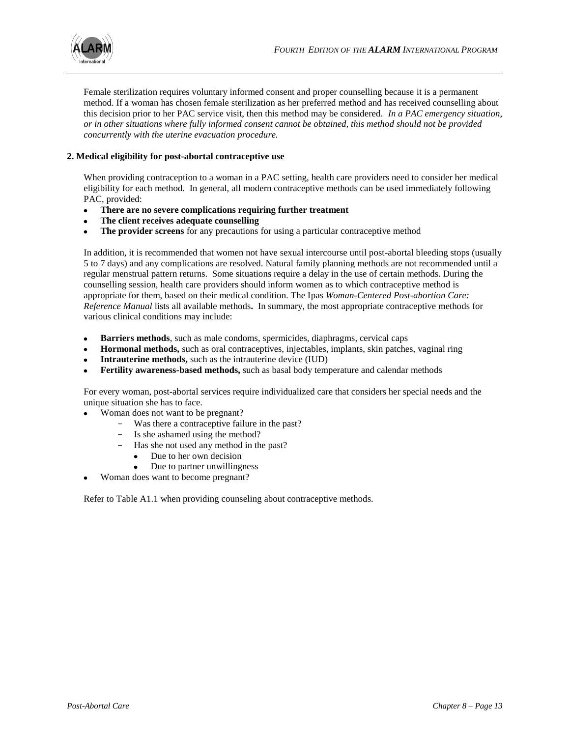

Female sterilization requires voluntary informed consent and proper counselling because it is a permanent method. If a woman has chosen female sterilization as her preferred method and has received counselling about this decision prior to her PAC service visit, then this method may be considered. *In a PAC emergency situation, or in other situations where fully informed consent cannot be obtained, this method should not be provided concurrently with the uterine evacuation procedure.*

#### **2. Medical eligibility for post-abortal contraceptive use**

When providing contraception to a woman in a PAC setting, health care providers need to consider her medical eligibility for each method. In general, all modern contraceptive methods can be used immediately following PAC, provided:

- **There are no severe complications requiring further treatment**  $\bullet$
- **The client receives adequate counselling**
- **The provider screens** for any precautions for using a particular contraceptive method  $\bullet$

In addition, it is recommended that women not have sexual intercourse until post-abortal bleeding stops (usually 5 to 7 days) and any complications are resolved. Natural family planning methods are not recommended until a regular menstrual pattern returns. Some situations require a delay in the use of certain methods. During the counselling session, health care providers should inform women as to which contraceptive method is appropriate for them, based on their medical condition. The Ipas *Woman-Centered Post-abortion Care: Reference Manual* lists all available methods**.** In summary, the most appropriate contraceptive methods for various clinical conditions may include:

- **Barriers methods**, such as male condoms, spermicides, diaphragms, cervical caps
- $\bullet$ **Hormonal methods,** such as oral contraceptives, injectables, implants, skin patches, vaginal ring
- **Intrauterine methods,** such as the intrauterine device (IUD)
- **Fertility awareness-based methods,** such as basal body temperature and calendar methods

For every woman, post-abortal services require individualized care that considers her special needs and the unique situation she has to face.

- Woman does not want to be pregnant?
	- Was there a contraceptive failure in the past?
	- Is she ashamed using the method?
	- Has she not used any method in the past?
		- Due to her own decision  $\bullet$
		- $\bullet$ Due to partner unwillingness
- Woman does want to become pregnant?

Refer to Table A1.1 when providing counseling about contraceptive methods.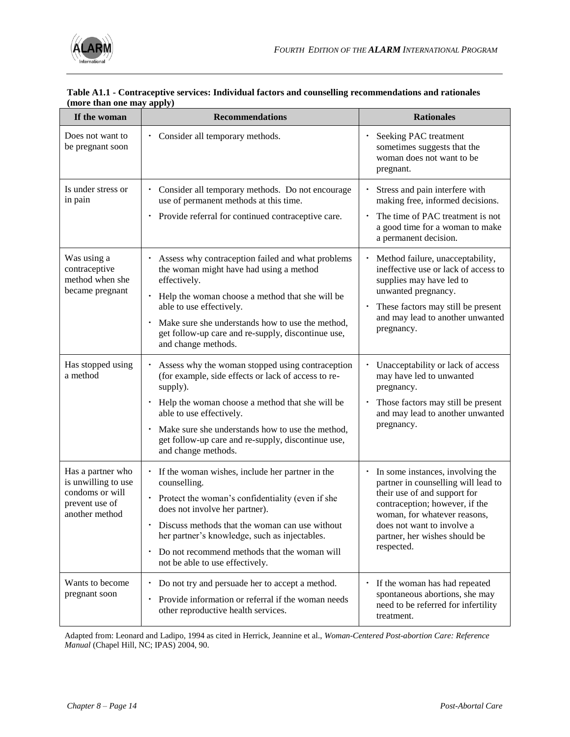

| If the woman                                                                                    | <b>Recommendations</b>                                                                                                                                                                                                                                                                                                                                     | <b>Rationales</b>                                                                                                                                                                                                                                           |
|-------------------------------------------------------------------------------------------------|------------------------------------------------------------------------------------------------------------------------------------------------------------------------------------------------------------------------------------------------------------------------------------------------------------------------------------------------------------|-------------------------------------------------------------------------------------------------------------------------------------------------------------------------------------------------------------------------------------------------------------|
| Does not want to<br>be pregnant soon                                                            | • Consider all temporary methods.                                                                                                                                                                                                                                                                                                                          | Seeking PAC treatment<br>sometimes suggests that the<br>woman does not want to be<br>pregnant.                                                                                                                                                              |
| Is under stress or<br>in pain                                                                   | Consider all temporary methods. Do not encourage<br>use of permanent methods at this time.<br>Provide referral for continued contraceptive care.                                                                                                                                                                                                           | Stress and pain interfere with<br>making free, informed decisions.<br>The time of PAC treatment is not<br>a good time for a woman to make<br>a permanent decision.                                                                                          |
| Was using a<br>contraceptive<br>method when she<br>became pregnant                              | Assess why contraception failed and what problems<br>the woman might have had using a method<br>effectively.<br>• Help the woman choose a method that she will be<br>able to use effectively.<br>Make sure she understands how to use the method,<br>get follow-up care and re-supply, discontinue use,<br>and change methods.                             | Method failure, unacceptability,<br>٠<br>ineffective use or lack of access to<br>supplies may have led to<br>unwanted pregnancy.<br>These factors may still be present<br>and may lead to another unwanted<br>pregnancy.                                    |
| Has stopped using<br>a method                                                                   | Assess why the woman stopped using contraception<br>(for example, side effects or lack of access to re-<br>supply).<br>Help the woman choose a method that she will be<br>able to use effectively.<br>Make sure she understands how to use the method,<br>get follow-up care and re-supply, discontinue use,<br>and change methods.                        | Unacceptability or lack of access<br>٠<br>may have led to unwanted<br>pregnancy.<br>Those factors may still be present<br>and may lead to another unwanted<br>pregnancy.                                                                                    |
| Has a partner who<br>is unwilling to use<br>condoms or will<br>prevent use of<br>another method | If the woman wishes, include her partner in the<br>$\bullet$<br>counselling.<br>• Protect the woman's confidentiality (even if she<br>does not involve her partner).<br>Discuss methods that the woman can use without<br>her partner's knowledge, such as injectables.<br>Do not recommend methods that the woman will<br>not be able to use effectively. | In some instances, involving the<br>٠<br>partner in counselling will lead to<br>their use of and support for<br>contraception; however, if the<br>woman, for whatever reasons,<br>does not want to involve a<br>partner, her wishes should be<br>respected. |
| Wants to become<br>pregnant soon                                                                | Do not try and persuade her to accept a method.<br>$\bullet$ .<br>Provide information or referral if the woman needs<br>٠<br>other reproductive health services.                                                                                                                                                                                           | • If the woman has had repeated<br>spontaneous abortions, she may<br>need to be referred for infertility<br>treatment.                                                                                                                                      |

#### **Table A1.1 - Contraceptive services: Individual factors and counselling recommendations and rationales (more than one may apply)**

Adapted from: Leonard and Ladipo, 1994 as cited in Herrick, Jeannine et al., *Woman-Centered Post-abortion Care: Reference Manual* (Chapel Hill, NC; IPAS) 2004, 90.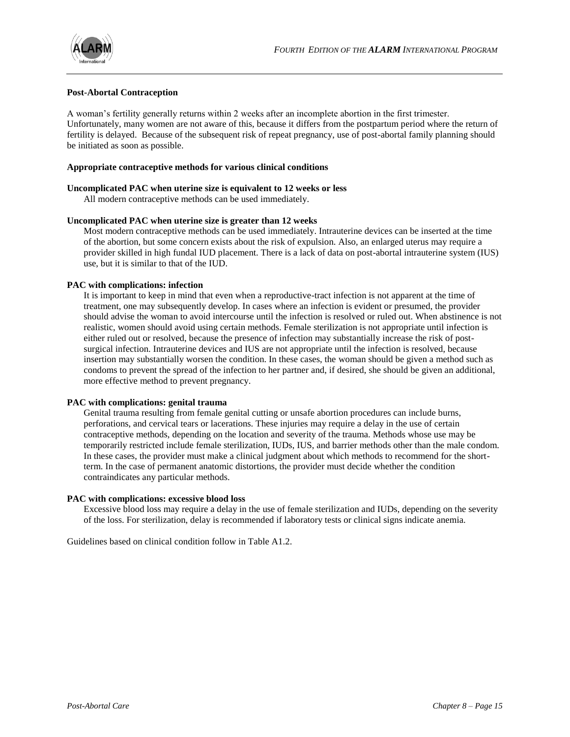

#### **Post-Abortal Contraception**

A woman's fertility generally returns within 2 weeks after an incomplete abortion in the first trimester. Unfortunately, many women are not aware of this, because it differs from the postpartum period where the return of fertility is delayed. Because of the subsequent risk of repeat pregnancy, use of post-abortal family planning should be initiated as soon as possible.

#### **Appropriate contraceptive methods for various clinical conditions**

#### **Uncomplicated PAC when uterine size is equivalent to 12 weeks or less**

All modern contraceptive methods can be used immediately.

#### **Uncomplicated PAC when uterine size is greater than 12 weeks**

Most modern contraceptive methods can be used immediately. Intrauterine devices can be inserted at the time of the abortion, but some concern exists about the risk of expulsion. Also, an enlarged uterus may require a provider skilled in high fundal IUD placement. There is a lack of data on post-abortal intrauterine system (IUS) use, but it is similar to that of the IUD.

#### **PAC with complications: infection**

It is important to keep in mind that even when a reproductive-tract infection is not apparent at the time of treatment, one may subsequently develop. In cases where an infection is evident or presumed, the provider should advise the woman to avoid intercourse until the infection is resolved or ruled out. When abstinence is not realistic, women should avoid using certain methods. Female sterilization is not appropriate until infection is either ruled out or resolved, because the presence of infection may substantially increase the risk of postsurgical infection. Intrauterine devices and IUS are not appropriate until the infection is resolved, because insertion may substantially worsen the condition. In these cases, the woman should be given a method such as condoms to prevent the spread of the infection to her partner and, if desired, she should be given an additional, more effective method to prevent pregnancy.

#### **PAC with complications: genital trauma**

Genital trauma resulting from female genital cutting or unsafe abortion procedures can include burns, perforations, and cervical tears or lacerations. These injuries may require a delay in the use of certain contraceptive methods, depending on the location and severity of the trauma. Methods whose use may be temporarily restricted include female sterilization, IUDs, IUS, and barrier methods other than the male condom. In these cases, the provider must make a clinical judgment about which methods to recommend for the shortterm. In the case of permanent anatomic distortions, the provider must decide whether the condition contraindicates any particular methods.

#### **PAC with complications: excessive blood loss**

Excessive blood loss may require a delay in the use of female sterilization and IUDs, depending on the severity of the loss. For sterilization, delay is recommended if laboratory tests or clinical signs indicate anemia.

Guidelines based on clinical condition follow in Table A1.2.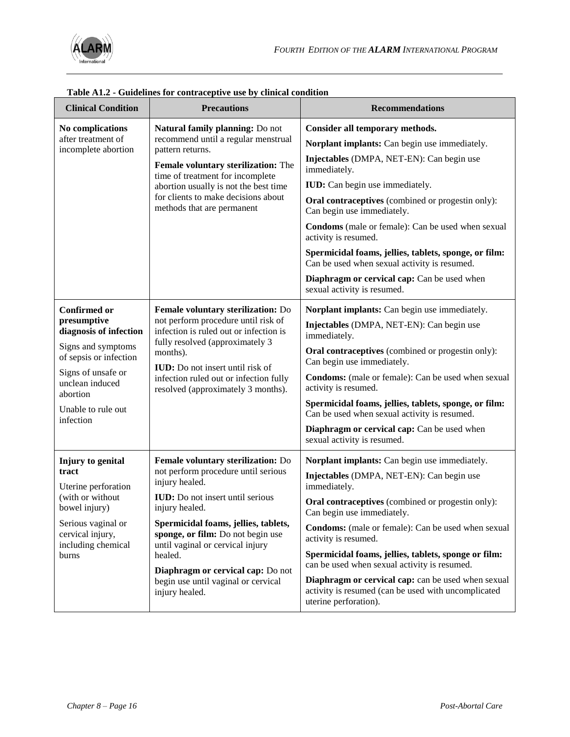

| <b>Clinical Condition</b>                                                                                                                                                                            | <b>Precautions</b>                                                                                                                                                                                                                                                                                                                                                                 | <b>Recommendations</b>                                                                                                                                                                                                                                                                                                                                                                                                                                                                                                                         |
|------------------------------------------------------------------------------------------------------------------------------------------------------------------------------------------------------|------------------------------------------------------------------------------------------------------------------------------------------------------------------------------------------------------------------------------------------------------------------------------------------------------------------------------------------------------------------------------------|------------------------------------------------------------------------------------------------------------------------------------------------------------------------------------------------------------------------------------------------------------------------------------------------------------------------------------------------------------------------------------------------------------------------------------------------------------------------------------------------------------------------------------------------|
| No complications<br>after treatment of<br>incomplete abortion                                                                                                                                        | Natural family planning: Do not<br>recommend until a regular menstrual<br>pattern returns.<br>Female voluntary sterilization: The<br>time of treatment for incomplete<br>abortion usually is not the best time<br>for clients to make decisions about<br>methods that are permanent                                                                                                | Consider all temporary methods.<br>Norplant implants: Can begin use immediately.<br>Injectables (DMPA, NET-EN): Can begin use<br>immediately.<br><b>IUD:</b> Can begin use immediately.<br>Oral contraceptives (combined or progestin only):<br>Can begin use immediately.<br>Condoms (male or female): Can be used when sexual<br>activity is resumed.<br>Spermicidal foams, jellies, tablets, sponge, or film:<br>Can be used when sexual activity is resumed.<br>Diaphragm or cervical cap: Can be used when<br>sexual activity is resumed. |
| <b>Confirmed or</b><br>presumptive<br>diagnosis of infection<br>Signs and symptoms<br>of sepsis or infection<br>Signs of unsafe or<br>unclean induced<br>abortion<br>Unable to rule out<br>infection | Female voluntary sterilization: Do<br>not perform procedure until risk of<br>infection is ruled out or infection is<br>fully resolved (approximately 3<br>months).<br><b>IUD:</b> Do not insert until risk of<br>infection ruled out or infection fully<br>resolved (approximately 3 months).                                                                                      | Norplant implants: Can begin use immediately.<br>Injectables (DMPA, NET-EN): Can begin use<br>immediately.<br>Oral contraceptives (combined or progestin only):<br>Can begin use immediately.<br>Condoms: (male or female): Can be used when sexual<br>activity is resumed.<br>Spermicidal foams, jellies, tablets, sponge, or film:<br>Can be used when sexual activity is resumed.<br>Diaphragm or cervical cap: Can be used when<br>sexual activity is resumed.                                                                             |
| Injury to genital<br>tract<br>Uterine perforation<br>(with or without<br>bowel injury)<br>Serious vaginal or<br>cervical injury,<br>including chemical<br>burns                                      | Female voluntary sterilization: Do<br>not perform procedure until serious<br>injury healed.<br><b>IUD:</b> Do not insert until serious<br>injury healed.<br>Spermicidal foams, jellies, tablets,<br>sponge, or film: Do not begin use<br>until vaginal or cervical injury<br>healed.<br>Diaphragm or cervical cap: Do not<br>begin use until vaginal or cervical<br>injury healed. | Norplant implants: Can begin use immediately.<br>Injectables (DMPA, NET-EN): Can begin use<br>immediately.<br>Oral contraceptives (combined or progestin only):<br>Can begin use immediately.<br>Condoms: (male or female): Can be used when sexual<br>activity is resumed.<br>Spermicidal foams, jellies, tablets, sponge or film:<br>can be used when sexual activity is resumed.<br>Diaphragm or cervical cap: can be used when sexual<br>activity is resumed (can be used with uncomplicated<br>uterine perforation).                      |

#### **Table A1.2 - Guidelines for contraceptive use by clinical condition**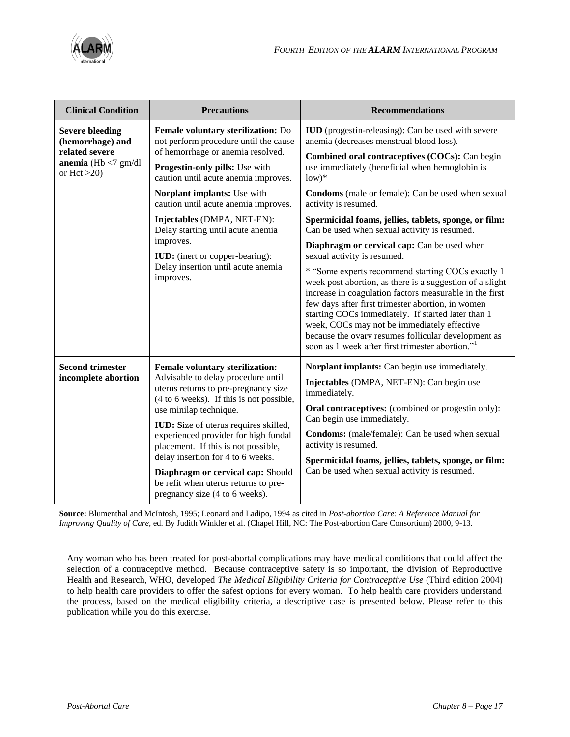

| <b>Clinical Condition</b>                                                                                | <b>Precautions</b>                                                                                                                                                                                                                                                                                                                                                                                                                                                     | <b>Recommendations</b>                                                                                                                                                                                                                                                                                                                                                                                                                                                                                                                                                                                                                                                                                                                                                                                                                                                                                                                                |
|----------------------------------------------------------------------------------------------------------|------------------------------------------------------------------------------------------------------------------------------------------------------------------------------------------------------------------------------------------------------------------------------------------------------------------------------------------------------------------------------------------------------------------------------------------------------------------------|-------------------------------------------------------------------------------------------------------------------------------------------------------------------------------------------------------------------------------------------------------------------------------------------------------------------------------------------------------------------------------------------------------------------------------------------------------------------------------------------------------------------------------------------------------------------------------------------------------------------------------------------------------------------------------------------------------------------------------------------------------------------------------------------------------------------------------------------------------------------------------------------------------------------------------------------------------|
| <b>Severe bleeding</b><br>(hemorrhage) and<br>related severe<br>anemia (Hb $<$ 7 gm/dl<br>or Hct $>20$ ) | Female voluntary sterilization: Do<br>not perform procedure until the cause<br>of hemorrhage or anemia resolved.<br>Progestin-only pills: Use with<br>caution until acute anemia improves.<br>Norplant implants: Use with<br>caution until acute anemia improves.<br>Injectables (DMPA, NET-EN):<br>Delay starting until acute anemia<br>improves.<br><b>IUD:</b> (inert or copper-bearing):<br>Delay insertion until acute anemia<br>improves.                        | <b>IUD</b> (progestin-releasing): Can be used with severe<br>anemia (decreases menstrual blood loss).<br>Combined oral contraceptives (COCs): Can begin<br>use immediately (beneficial when hemoglobin is<br>$low)*$<br>Condoms (male or female): Can be used when sexual<br>activity is resumed.<br>Spermicidal foams, jellies, tablets, sponge, or film:<br>Can be used when sexual activity is resumed.<br>Diaphragm or cervical cap: Can be used when<br>sexual activity is resumed.<br>* "Some experts recommend starting COCs exactly 1<br>week post abortion, as there is a suggestion of a slight<br>increase in coagulation factors measurable in the first<br>few days after first trimester abortion, in women<br>starting COCs immediately. If started later than 1<br>week, COCs may not be immediately effective<br>because the ovary resumes follicular development as<br>soon as 1 week after first trimester abortion." <sup>1</sup> |
| <b>Second trimester</b><br>incomplete abortion                                                           | <b>Female voluntary sterilization:</b><br>Advisable to delay procedure until<br>uterus returns to pre-pregnancy size<br>(4 to 6 weeks). If this is not possible,<br>use minilap technique.<br>IUD: Size of uterus requires skilled,<br>experienced provider for high fundal<br>placement. If this is not possible,<br>delay insertion for 4 to 6 weeks.<br>Diaphragm or cervical cap: Should<br>be refit when uterus returns to pre-<br>pregnancy size (4 to 6 weeks). | Norplant implants: Can begin use immediately.<br>Injectables (DMPA, NET-EN): Can begin use<br>immediately.<br>Oral contraceptives: (combined or progestin only):<br>Can begin use immediately.<br>Condoms: (male/female): Can be used when sexual<br>activity is resumed.<br>Spermicidal foams, jellies, tablets, sponge, or film:<br>Can be used when sexual activity is resumed.                                                                                                                                                                                                                                                                                                                                                                                                                                                                                                                                                                    |

**Source:** Blumenthal and McIntosh, 1995; Leonard and Ladipo, 1994 as cited in *Post-abortion Care: A Reference Manual for Improving Quality of Care,* ed. By Judith Winkler et al. (Chapel Hill, NC: The Post-abortion Care Consortium) 2000, 9-13.

Any woman who has been treated for post-abortal complications may have medical conditions that could affect the selection of a contraceptive method. Because contraceptive safety is so important, the division of Reproductive Health and Research, WHO, developed *The Medical Eligibility Criteria for Contraceptive Use* (Third edition 2004) to help health care providers to offer the safest options for every woman. To help health care providers understand the process, based on the medical eligibility criteria, a descriptive case is presented below. Please refer to this publication while you do this exercise.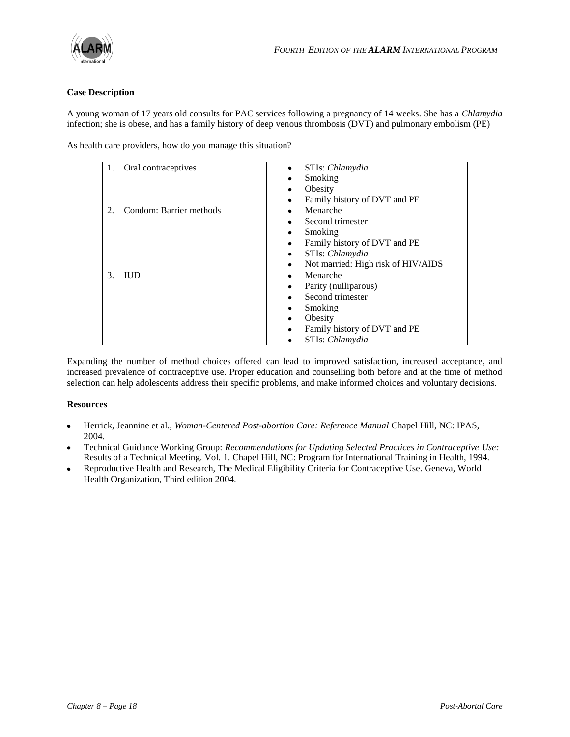

#### **Case Description**

A young woman of 17 years old consults for PAC services following a pregnancy of 14 weeks. She has a *Chlamydia* infection; she is obese, and has a family history of deep venous thrombosis (DVT) and pulmonary embolism (PE)

As health care providers, how do you manage this situation?

| Oral contraceptives           | STIs: Chlamydia<br>٠                    |
|-------------------------------|-----------------------------------------|
|                               | Smoking<br>٠                            |
|                               | Obesity<br>٠                            |
|                               | Family history of DVT and PE<br>٠       |
| Condom: Barrier methods<br>2. | Menarche<br>٠                           |
|                               | Second trimester                        |
|                               | Smoking<br>٠                            |
|                               | Family history of DVT and PE<br>٠       |
|                               | STIs: Chlamydia<br>٠                    |
|                               | Not married: High risk of HIV/AIDS<br>٠ |
| 3.<br><b>IUD</b>              | Menarche<br>٠                           |
|                               | Parity (nulliparous)<br>٠               |
|                               | Second trimester<br>٠                   |
|                               | Smoking<br>٠                            |
|                               | Obesity<br>٠                            |
|                               | Family history of DVT and PE<br>٠       |
|                               | STIs: Chlamydia<br>٠                    |

Expanding the number of method choices offered can lead to improved satisfaction, increased acceptance, and increased prevalence of contraceptive use. Proper education and counselling both before and at the time of method selection can help adolescents address their specific problems, and make informed choices and voluntary decisions.

#### **Resources**

- Herrick, Jeannine et al., *Woman-Centered Post-abortion Care: Reference Manual* Chapel Hill, NC: IPAS, 2004.
- Technical Guidance Working Group: *Recommendations for Updating Selected Practices in Contraceptive Use:*  Results of a Technical Meeting. Vol. 1. Chapel Hill, NC: Program for International Training in Health, 1994.
- Reproductive Health and Research, The Medical Eligibility Criteria for Contraceptive Use. Geneva, World Health Organization, Third edition 2004.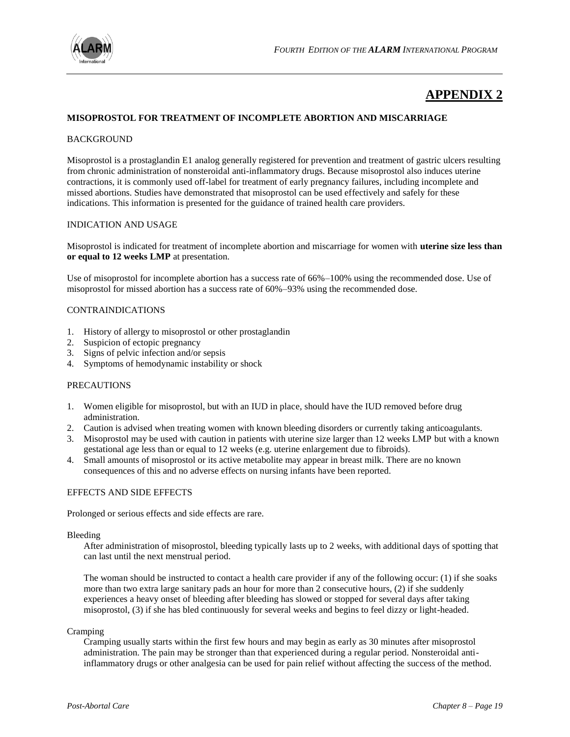

# **APPENDIX 2**

#### **MISOPROSTOL FOR TREATMENT OF INCOMPLETE ABORTION AND MISCARRIAGE**

#### BACKGROUND

Misoprostol is a prostaglandin E1 analog generally registered for prevention and treatment of gastric ulcers resulting from chronic administration of nonsteroidal anti-inflammatory drugs. Because misoprostol also induces uterine contractions, it is commonly used off-label for treatment of early pregnancy failures, including incomplete and missed abortions. Studies have demonstrated that misoprostol can be used effectively and safely for these indications. This information is presented for the guidance of trained health care providers.

#### INDICATION AND USAGE

Misoprostol is indicated for treatment of incomplete abortion and miscarriage for women with **uterine size less than or equal to 12 weeks LMP** at presentation.

Use of misoprostol for incomplete abortion has a success rate of 66%–100% using the recommended dose. Use of misoprostol for missed abortion has a success rate of 60%–93% using the recommended dose.

#### CONTRAINDICATIONS

- 1. History of allergy to misoprostol or other prostaglandin
- 2. Suspicion of ectopic pregnancy
- 3. Signs of pelvic infection and/or sepsis
- 4. Symptoms of hemodynamic instability or shock

#### PRECAUTIONS

- 1. Women eligible for misoprostol, but with an IUD in place, should have the IUD removed before drug administration.
- 2. Caution is advised when treating women with known bleeding disorders or currently taking anticoagulants.
- 3. Misoprostol may be used with caution in patients with uterine size larger than 12 weeks LMP but with a known gestational age less than or equal to 12 weeks (e.g. uterine enlargement due to fibroids).
- 4. Small amounts of misoprostol or its active metabolite may appear in breast milk. There are no known consequences of this and no adverse effects on nursing infants have been reported.

#### EFFECTS AND SIDE EFFECTS

Prolonged or serious effects and side effects are rare.

#### Bleeding

After administration of misoprostol, bleeding typically lasts up to 2 weeks, with additional days of spotting that can last until the next menstrual period.

The woman should be instructed to contact a health care provider if any of the following occur: (1) if she soaks more than two extra large sanitary pads an hour for more than 2 consecutive hours, (2) if she suddenly experiences a heavy onset of bleeding after bleeding has slowed or stopped for several days after taking misoprostol, (3) if she has bled continuously for several weeks and begins to feel dizzy or light-headed.

#### Cramping

Cramping usually starts within the first few hours and may begin as early as 30 minutes after misoprostol administration. The pain may be stronger than that experienced during a regular period. Nonsteroidal antiinflammatory drugs or other analgesia can be used for pain relief without affecting the success of the method.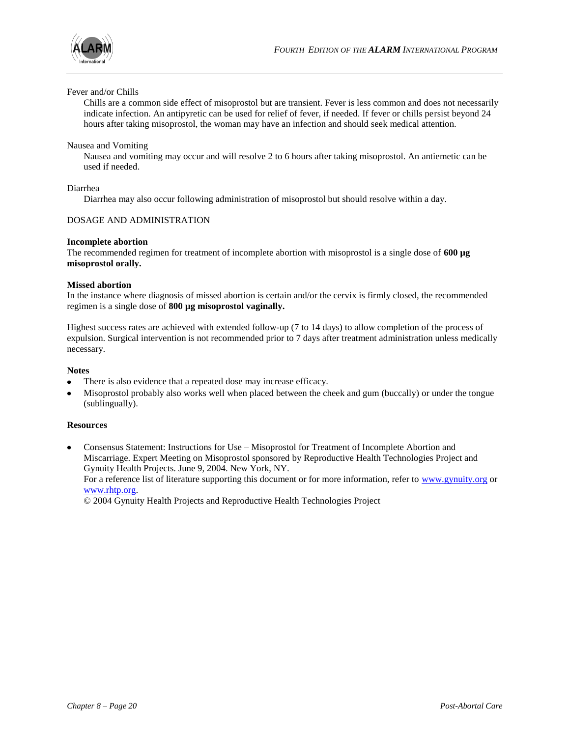

#### Fever and/or Chills

Chills are a common side effect of misoprostol but are transient. Fever is less common and does not necessarily indicate infection. An antipyretic can be used for relief of fever, if needed. If fever or chills persist beyond 24 hours after taking misoprostol, the woman may have an infection and should seek medical attention.

#### Nausea and Vomiting

Nausea and vomiting may occur and will resolve 2 to 6 hours after taking misoprostol. An antiemetic can be used if needed.

#### Diarrhea

Diarrhea may also occur following administration of misoprostol but should resolve within a day.

#### DOSAGE AND ADMINISTRATION

#### **Incomplete abortion**

The recommended regimen for treatment of incomplete abortion with misoprostol is a single dose of **600 µg misoprostol orally.**

#### **Missed abortion**

In the instance where diagnosis of missed abortion is certain and/or the cervix is firmly closed, the recommended regimen is a single dose of **800 µg misoprostol vaginally.**

Highest success rates are achieved with extended follow-up (7 to 14 days) to allow completion of the process of expulsion. Surgical intervention is not recommended prior to 7 days after treatment administration unless medically necessary.

#### **Notes**

- There is also evidence that a repeated dose may increase efficacy.
- Misoprostol probably also works well when placed between the cheek and gum (buccally) or under the tongue (sublingually).

#### **Resources**

Consensus Statement: Instructions for Use – Misoprostol for Treatment of Incomplete Abortion and Miscarriage. Expert Meeting on Misoprostol sponsored by Reproductive Health Technologies Project and Gynuity Health Projects. June 9, 2004. New York, NY.

For a reference list of literature supporting this document or for more information, refer to [www.gynuity.org](http://www.gynuity.org/) or [www.rhtp.org.](http://www.rhtp.org/)

© 2004 Gynuity Health Projects and Reproductive Health Technologies Project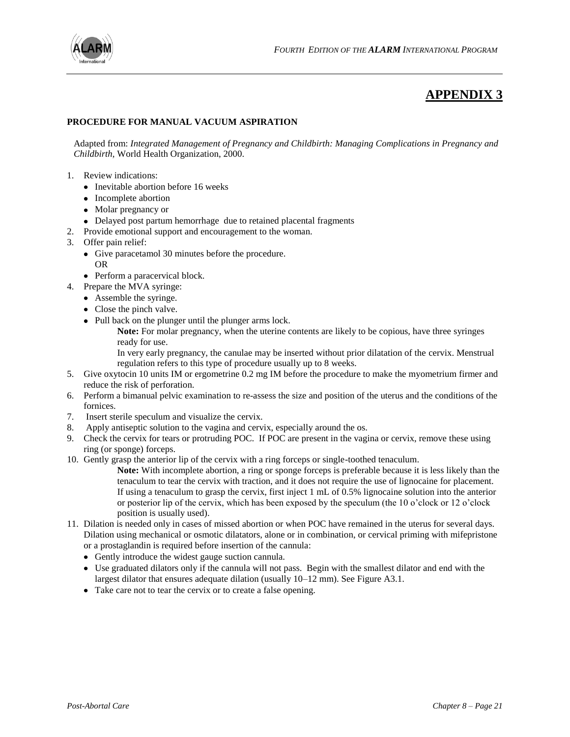

# **APPENDIX 3**

#### **PROCEDURE FOR MANUAL VACUUM ASPIRATION**

Adapted from: *Integrated Management of Pregnancy and Childbirth: Managing Complications in Pregnancy and Childbirth,* World Health Organization, 2000.

- 1. Review indications:
	- Inevitable abortion before 16 weeks
	- Incomplete abortion
	- Molar pregnancy or
	- Delayed post partum hemorrhage due to retained placental fragments
- 2. Provide emotional support and encouragement to the woman.
- 3. Offer pain relief:
	- Give paracetamol 30 minutes before the procedure.
		- OR
	- Perform a paracervical block.
- 4. Prepare the MVA syringe:
	- Assemble the syringe.
	- Close the pinch valve.
	- Pull back on the plunger until the plunger arms lock.

**Note:** For molar pregnancy, when the uterine contents are likely to be copious, have three syringes ready for use.

In very early pregnancy, the canulae may be inserted without prior dilatation of the cervix. Menstrual regulation refers to this type of procedure usually up to 8 weeks.

- 5. Give oxytocin 10 units IM or ergometrine 0.2 mg IM before the procedure to make the myometrium firmer and reduce the risk of perforation.
- 6. Perform a bimanual pelvic examination to re-assess the size and position of the uterus and the conditions of the fornices.
- 7. Insert sterile speculum and visualize the cervix.
- 8. Apply antiseptic solution to the vagina and cervix, especially around the os.
- 9. Check the cervix for tears or protruding POC. If POC are present in the vagina or cervix, remove these using ring (or sponge) forceps.
- 10. Gently grasp the anterior lip of the cervix with a ring forceps or single-toothed tenaculum.

**Note:** With incomplete abortion, a ring or sponge forceps is preferable because it is less likely than the tenaculum to tear the cervix with traction, and it does not require the use of lignocaine for placement. If using a tenaculum to grasp the cervix, first inject 1 mL of 0.5% lignocaine solution into the anterior or posterior lip of the cervix, which has been exposed by the speculum (the 10 o'clock or 12 o'clock position is usually used).

- 11. Dilation is needed only in cases of missed abortion or when POC have remained in the uterus for several days. Dilation using mechanical or osmotic dilatators, alone or in combination, or cervical priming with mifepristone or a prostaglandin is required before insertion of the cannula:
	- Gently introduce the widest gauge suction cannula.
	- Use graduated dilators only if the cannula will not pass. Begin with the smallest dilator and end with the largest dilator that ensures adequate dilation (usually 10–12 mm). See Figure A3.1.
	- Take care not to tear the cervix or to create a false opening.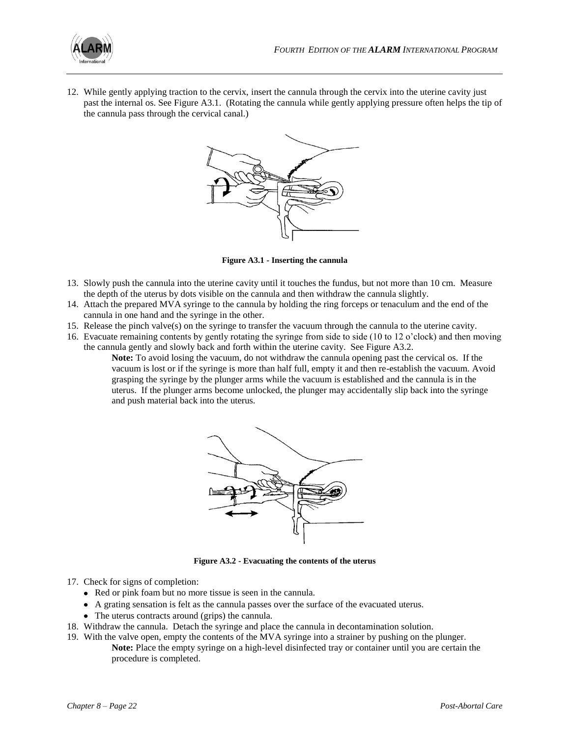

12. While gently applying traction to the cervix, insert the cannula through the cervix into the uterine cavity just past the internal os. See Figure A3.1. (Rotating the cannula while gently applying pressure often helps the tip of the cannula pass through the cervical canal.)



**Figure A3.1 - Inserting the cannula**

- 13. Slowly push the cannula into the uterine cavity until it touches the fundus, but not more than 10 cm. Measure the depth of the uterus by dots visible on the cannula and then withdraw the cannula slightly.
- 14. Attach the prepared MVA syringe to the cannula by holding the ring forceps or tenaculum and the end of the cannula in one hand and the syringe in the other.
- 15. Release the pinch valve(s) on the syringe to transfer the vacuum through the cannula to the uterine cavity.
- 16. Evacuate remaining contents by gently rotating the syringe from side to side (10 to 12 o'clock) and then moving the cannula gently and slowly back and forth within the uterine cavity. See Figure A3.2.

**Note:** To avoid losing the vacuum, do not withdraw the cannula opening past the cervical os. If the vacuum is lost or if the syringe is more than half full, empty it and then re-establish the vacuum. Avoid grasping the syringe by the plunger arms while the vacuum is established and the cannula is in the uterus. If the plunger arms become unlocked, the plunger may accidentally slip back into the syringe and push material back into the uterus.



**Figure A3.2 - Evacuating the contents of the uterus**

- 17. Check for signs of completion:
	- Red or pink foam but no more tissue is seen in the cannula.
	- A grating sensation is felt as the cannula passes over the surface of the evacuated uterus.
	- The uterus contracts around (grips) the cannula.
- 18. Withdraw the cannula. Detach the syringe and place the cannula in decontamination solution.
- 19. With the valve open, empty the contents of the MVA syringe into a strainer by pushing on the plunger. Note: Place the empty syringe on a high-level disinfected tray or container until you are certain the procedure is completed.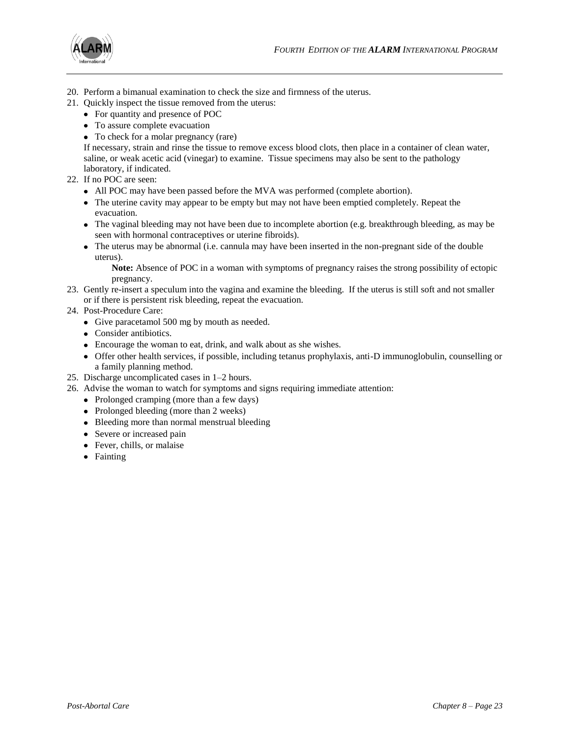

- 20. Perform a bimanual examination to check the size and firmness of the uterus.
- 21. Quickly inspect the tissue removed from the uterus:
	- For quantity and presence of POC
	- To assure complete evacuation
	- To check for a molar pregnancy (rare)

If necessary, strain and rinse the tissue to remove excess blood clots, then place in a container of clean water, saline, or weak acetic acid (vinegar) to examine. Tissue specimens may also be sent to the pathology laboratory, if indicated.

- 22. If no POC are seen:
	- All POC may have been passed before the MVA was performed (complete abortion).
	- The uterine cavity may appear to be empty but may not have been emptied completely. Repeat the evacuation.
	- The vaginal bleeding may not have been due to incomplete abortion (e.g. breakthrough bleeding, as may be seen with hormonal contraceptives or uterine fibroids).
	- The uterus may be abnormal (i.e. cannula may have been inserted in the non-pregnant side of the double uterus).

**Note:** Absence of POC in a woman with symptoms of pregnancy raises the strong possibility of ectopic pregnancy.

- 23. Gently re-insert a speculum into the vagina and examine the bleeding. If the uterus is still soft and not smaller or if there is persistent risk bleeding, repeat the evacuation.
- 24. Post-Procedure Care:
	- Give paracetamol 500 mg by mouth as needed.
	- Consider antibiotics.
	- Encourage the woman to eat, drink, and walk about as she wishes.
	- Offer other health services, if possible, including tetanus prophylaxis, anti-D immunoglobulin, counselling or a family planning method.
- 25. Discharge uncomplicated cases in 1–2 hours.
- 26. Advise the woman to watch for symptoms and signs requiring immediate attention:
	- Prolonged cramping (more than a few days)
	- Prolonged bleeding (more than 2 weeks)
	- Bleeding more than normal menstrual bleeding
	- Severe or increased pain
	- Fever, chills, or malaise
	- Fainting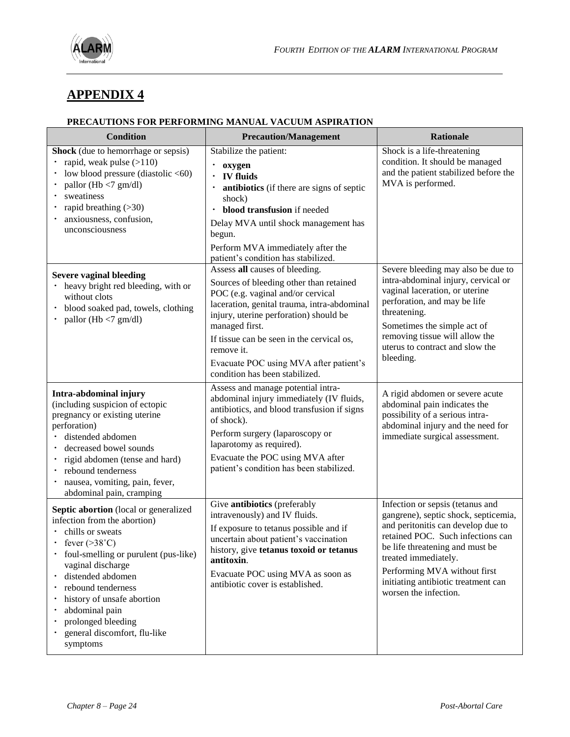

# **APPENDIX 4**

# **PRECAUTIONS FOR PERFORMING MANUAL VACUUM ASPIRATION**

| <b>Condition</b>                                                                                                                                                                                                                                                                                                                                 | <b>Precaution/Management</b>                                                                                                                                                                                                                                                                                                                                     | <b>Rationale</b>                                                                                                                                                                                                                                                                                               |
|--------------------------------------------------------------------------------------------------------------------------------------------------------------------------------------------------------------------------------------------------------------------------------------------------------------------------------------------------|------------------------------------------------------------------------------------------------------------------------------------------------------------------------------------------------------------------------------------------------------------------------------------------------------------------------------------------------------------------|----------------------------------------------------------------------------------------------------------------------------------------------------------------------------------------------------------------------------------------------------------------------------------------------------------------|
| Shock (due to hemorrhage or sepsis)<br>rapid, weak pulse (>110)<br>low blood pressure (diastolic <60)<br>pallor (Hb $<$ 7 gm/dl)<br>sweatiness<br>rapid breathing $(>30)$<br>anxiousness, confusion,<br>unconsciousness                                                                                                                          | Stabilize the patient:<br>oxygen<br><b>IV</b> fluids<br>antibiotics (if there are signs of septic<br>shock)<br>blood transfusion if needed<br>Delay MVA until shock management has<br>begun.<br>Perform MVA immediately after the<br>patient's condition has stabilized.                                                                                         | Shock is a life-threatening<br>condition. It should be managed<br>and the patient stabilized before the<br>MVA is performed.                                                                                                                                                                                   |
| <b>Severe vaginal bleeding</b><br>• heavy bright red bleeding, with or<br>without clots<br>blood soaked pad, towels, clothing<br>٠<br>pallor (Hb $\langle$ 7 gm/dl)                                                                                                                                                                              | Assess all causes of bleeding.<br>Sources of bleeding other than retained<br>POC (e.g. vaginal and/or cervical<br>laceration, genital trauma, intra-abdominal<br>injury, uterine perforation) should be<br>managed first.<br>If tissue can be seen in the cervical os,<br>remove it.<br>Evacuate POC using MVA after patient's<br>condition has been stabilized. | Severe bleeding may also be due to<br>intra-abdominal injury, cervical or<br>vaginal laceration, or uterine<br>perforation, and may be life<br>threatening.<br>Sometimes the simple act of<br>removing tissue will allow the<br>uterus to contract and slow the<br>bleeding.                                   |
| Intra-abdominal injury<br>(including suspicion of ectopic<br>pregnancy or existing uterine<br>perforation)<br>distended abdomen<br>decreased bowel sounds<br>rigid abdomen (tense and hard)<br>rebound tenderness<br>nausea, vomiting, pain, fever,<br>abdominal pain, cramping                                                                  | Assess and manage potential intra-<br>abdominal injury immediately (IV fluids,<br>antibiotics, and blood transfusion if signs<br>of shock).<br>Perform surgery (laparoscopy or<br>laparotomy as required).<br>Evacuate the POC using MVA after<br>patient's condition has been stabilized.                                                                       | A rigid abdomen or severe acute<br>abdominal pain indicates the<br>possibility of a serious intra-<br>abdominal injury and the need for<br>immediate surgical assessment.                                                                                                                                      |
| Septic abortion (local or generalized<br>infection from the abortion)<br>chills or sweats<br>• fever $( >38^{\circ}C)$<br>foul-smelling or purulent (pus-like)<br>vaginal discharge<br>distended abdomen<br>rebound tenderness<br>history of unsafe abortion<br>abdominal pain<br>prolonged bleeding<br>general discomfort, flu-like<br>symptoms | Give antibiotics (preferably<br>intravenously) and IV fluids.<br>If exposure to tetanus possible and if<br>uncertain about patient's vaccination<br>history, give tetanus toxoid or tetanus<br>antitoxin.<br>Evacuate POC using MVA as soon as<br>antibiotic cover is established.                                                                               | Infection or sepsis (tetanus and<br>gangrene), septic shock, septicemia,<br>and peritonitis can develop due to<br>retained POC. Such infections can<br>be life threatening and must be<br>treated immediately.<br>Performing MVA without first<br>initiating antibiotic treatment can<br>worsen the infection. |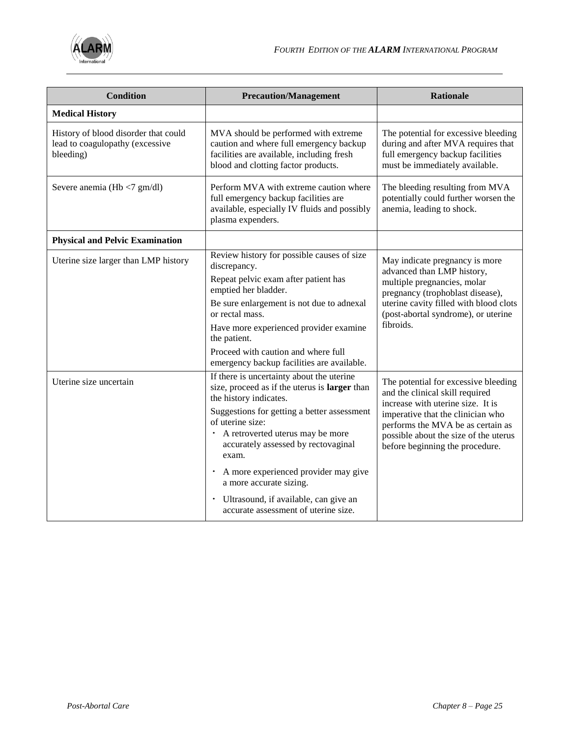

| <b>Condition</b>                                                                     | <b>Precaution/Management</b>                                                                                                                                        | <b>Rationale</b>                                                                                                                                   |  |
|--------------------------------------------------------------------------------------|---------------------------------------------------------------------------------------------------------------------------------------------------------------------|----------------------------------------------------------------------------------------------------------------------------------------------------|--|
| <b>Medical History</b>                                                               |                                                                                                                                                                     |                                                                                                                                                    |  |
| History of blood disorder that could<br>lead to coagulopathy (excessive<br>bleeding) | MVA should be performed with extreme<br>caution and where full emergency backup<br>facilities are available, including fresh<br>blood and clotting factor products. | The potential for excessive bleeding<br>during and after MVA requires that<br>full emergency backup facilities<br>must be immediately available.   |  |
| Severe anemia (Hb <7 gm/dl)                                                          | Perform MVA with extreme caution where<br>full emergency backup facilities are<br>available, especially IV fluids and possibly<br>plasma expenders.                 | The bleeding resulting from MVA<br>potentially could further worsen the<br>anemia, leading to shock.                                               |  |
| <b>Physical and Pelvic Examination</b>                                               |                                                                                                                                                                     |                                                                                                                                                    |  |
| Uterine size larger than LMP history                                                 | Review history for possible causes of size<br>discrepancy.                                                                                                          | May indicate pregnancy is more<br>advanced than LMP history,                                                                                       |  |
|                                                                                      | Repeat pelvic exam after patient has<br>emptied her bladder.                                                                                                        | multiple pregnancies, molar<br>pregnancy (trophoblast disease),                                                                                    |  |
|                                                                                      | Be sure enlargement is not due to adnexal<br>or rectal mass.                                                                                                        | uterine cavity filled with blood clots<br>(post-abortal syndrome), or uterine                                                                      |  |
|                                                                                      | Have more experienced provider examine<br>the patient.                                                                                                              | fibroids.                                                                                                                                          |  |
|                                                                                      | Proceed with caution and where full<br>emergency backup facilities are available.                                                                                   |                                                                                                                                                    |  |
| Uterine size uncertain                                                               | If there is uncertainty about the uterine<br>size, proceed as if the uterus is <b>larger</b> than<br>the history indicates.                                         | The potential for excessive bleeding<br>and the clinical skill required<br>increase with uterine size. It is                                       |  |
|                                                                                      | Suggestions for getting a better assessment<br>of uterine size:<br>A retroverted uterus may be more<br>accurately assessed by rectovaginal<br>exam.                 | imperative that the clinician who<br>performs the MVA be as certain as<br>possible about the size of the uterus<br>before beginning the procedure. |  |
|                                                                                      | • A more experienced provider may give<br>a more accurate sizing.                                                                                                   |                                                                                                                                                    |  |
|                                                                                      | · Ultrasound, if available, can give an<br>accurate assessment of uterine size.                                                                                     |                                                                                                                                                    |  |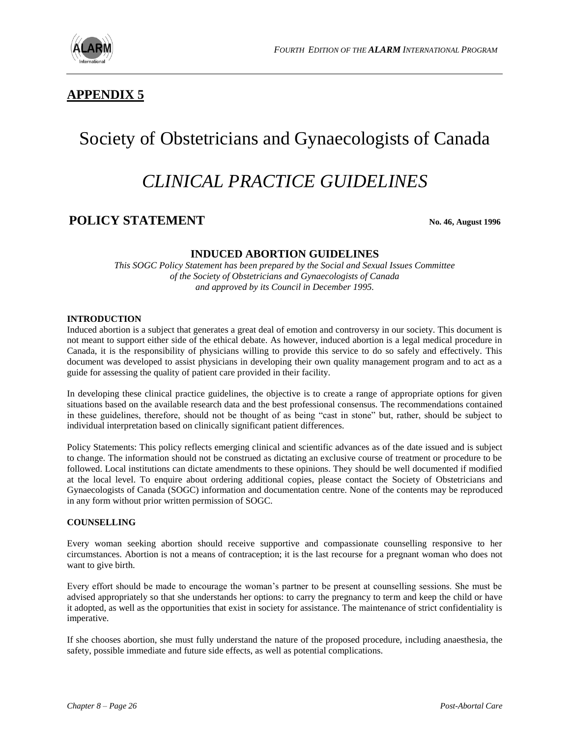

# **APPENDIX 5**

# Society of Obstetricians and Gynaecologists of Canada

# *CLINICAL PRACTICE GUIDELINES*

# **POLICY STATEMENT No. 46, August 1996**

# **INDUCED ABORTION GUIDELINES**

*This SOGC Policy Statement has been prepared by the Social and Sexual Issues Committee of the Society of Obstetricians and Gynaecologists of Canada and approved by its Council in December 1995.*

#### **INTRODUCTION**

Induced abortion is a subject that generates a great deal of emotion and controversy in our society. This document is not meant to support either side of the ethical debate. As however, induced abortion is a legal medical procedure in Canada, it is the responsibility of physicians willing to provide this service to do so safely and effectively. This document was developed to assist physicians in developing their own quality management program and to act as a guide for assessing the quality of patient care provided in their facility.

In developing these clinical practice guidelines, the objective is to create a range of appropriate options for given situations based on the available research data and the best professional consensus. The recommendations contained in these guidelines, therefore, should not be thought of as being "cast in stone" but, rather, should be subject to individual interpretation based on clinically significant patient differences.

Policy Statements: This policy reflects emerging clinical and scientific advances as of the date issued and is subject to change. The information should not be construed as dictating an exclusive course of treatment or procedure to be followed. Local institutions can dictate amendments to these opinions. They should be well documented if modified at the local level. To enquire about ordering additional copies, please contact the Society of Obstetricians and Gynaecologists of Canada (SOGC) information and documentation centre. None of the contents may be reproduced in any form without prior written permission of SOGC.

#### **COUNSELLING**

Every woman seeking abortion should receive supportive and compassionate counselling responsive to her circumstances. Abortion is not a means of contraception; it is the last recourse for a pregnant woman who does not want to give birth.

Every effort should be made to encourage the woman's partner to be present at counselling sessions. She must be advised appropriately so that she understands her options: to carry the pregnancy to term and keep the child or have it adopted, as well as the opportunities that exist in society for assistance. The maintenance of strict confidentiality is imperative.

If she chooses abortion, she must fully understand the nature of the proposed procedure, including anaesthesia, the safety, possible immediate and future side effects, as well as potential complications.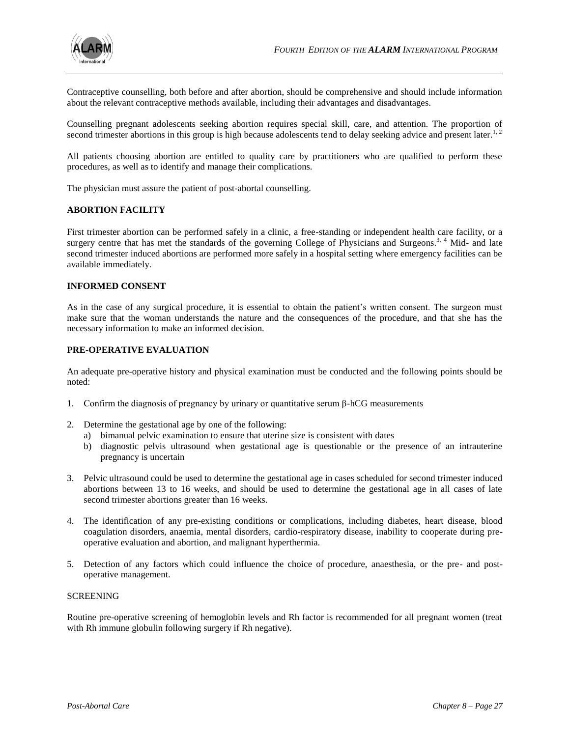

Contraceptive counselling, both before and after abortion, should be comprehensive and should include information about the relevant contraceptive methods available, including their advantages and disadvantages.

Counselling pregnant adolescents seeking abortion requires special skill, care, and attention. The proportion of second trimester abortions in this group is high because adolescents tend to delay seeking advice and present later.<sup>1, 2</sup>

All patients choosing abortion are entitled to quality care by practitioners who are qualified to perform these procedures, as well as to identify and manage their complications.

The physician must assure the patient of post-abortal counselling.

#### **ABORTION FACILITY**

First trimester abortion can be performed safely in a clinic, a free-standing or independent health care facility, or a surgery centre that has met the standards of the governing College of Physicians and Surgeons.<sup>3, 4</sup> Mid- and late second trimester induced abortions are performed more safely in a hospital setting where emergency facilities can be available immediately.

#### **INFORMED CONSENT**

As in the case of any surgical procedure, it is essential to obtain the patient's written consent. The surgeon must make sure that the woman understands the nature and the consequences of the procedure, and that she has the necessary information to make an informed decision.

#### **PRE-OPERATIVE EVALUATION**

An adequate pre-operative history and physical examination must be conducted and the following points should be noted:

- 1. Confirm the diagnosis of pregnancy by urinary or quantitative serum β-hCG measurements
- 2. Determine the gestational age by one of the following:
	- a) bimanual pelvic examination to ensure that uterine size is consistent with dates
	- b) diagnostic pelvis ultrasound when gestational age is questionable or the presence of an intrauterine pregnancy is uncertain
- 3. Pelvic ultrasound could be used to determine the gestational age in cases scheduled for second trimester induced abortions between 13 to 16 weeks, and should be used to determine the gestational age in all cases of late second trimester abortions greater than 16 weeks.
- 4. The identification of any pre-existing conditions or complications, including diabetes, heart disease, blood coagulation disorders, anaemia, mental disorders, cardio-respiratory disease, inability to cooperate during preoperative evaluation and abortion, and malignant hyperthermia.
- 5. Detection of any factors which could influence the choice of procedure, anaesthesia, or the pre- and postoperative management.

#### **SCREENING**

Routine pre-operative screening of hemoglobin levels and Rh factor is recommended for all pregnant women (treat with Rh immune globulin following surgery if Rh negative).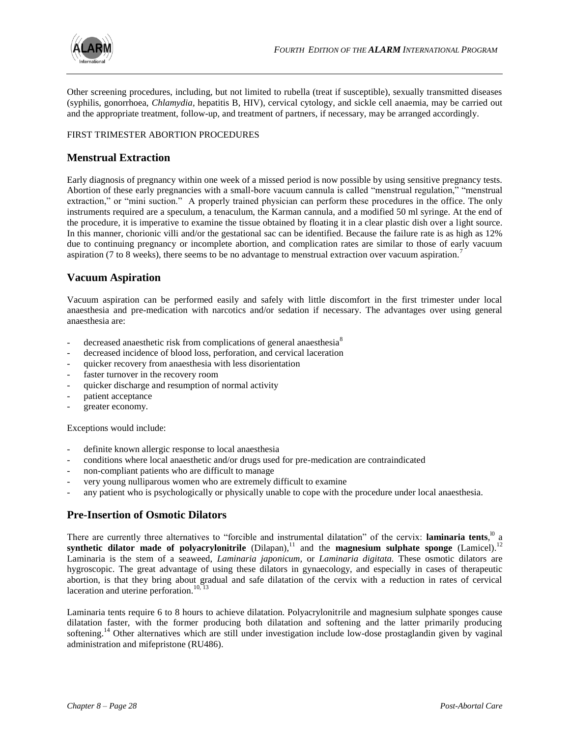

Other screening procedures, including, but not limited to rubella (treat if susceptible), sexually transmitted diseases (syphilis, gonorrhoea, *Chlamydia*, hepatitis B, HIV), cervical cytology, and sickle cell anaemia, may be carried out and the appropriate treatment, follow-up, and treatment of partners, if necessary, may be arranged accordingly.

#### FIRST TRIMESTER ABORTION PROCEDURES

# **Menstrual Extraction**

Early diagnosis of pregnancy within one week of a missed period is now possible by using sensitive pregnancy tests. Abortion of these early pregnancies with a small-bore vacuum cannula is called "menstrual regulation," "menstrual extraction," or "mini suction." A properly trained physician can perform these procedures in the office. The only instruments required are a speculum, a tenaculum, the Karman cannula, and a modified 50 ml syringe. At the end of the procedure, it is imperative to examine the tissue obtained by floating it in a clear plastic dish over a light source. In this manner, chorionic villi and/or the gestational sac can be identified. Because the failure rate is as high as 12% due to continuing pregnancy or incomplete abortion, and complication rates are similar to those of early vacuum aspiration (7 to 8 weeks), there seems to be no advantage to menstrual extraction over vacuum aspiration.<sup>7</sup>

# **Vacuum Aspiration**

Vacuum aspiration can be performed easily and safely with little discomfort in the first trimester under local anaesthesia and pre-medication with narcotics and/or sedation if necessary. The advantages over using general anaesthesia are:

- decreased anaesthetic risk from complications of general anaesthesia $8$
- decreased incidence of blood loss, perforation, and cervical laceration
- quicker recovery from anaesthesia with less disorientation
- faster turnover in the recovery room
- quicker discharge and resumption of normal activity
- patient acceptance
- greater economy.

Exceptions would include:

- definite known allergic response to local anaesthesia
- conditions where local anaesthetic and/or drugs used for pre-medication are contraindicated
- non-compliant patients who are difficult to manage
- very young nulliparous women who are extremely difficult to examine
- any patient who is psychologically or physically unable to cope with the procedure under local anaesthesia.

# **Pre-Insertion of Osmotic Dilators**

There are currently three alternatives to "forcible and instrumental dilatation" of the cervix: **laminaria tents**,<sup>10</sup> a **synthetic dilator made of polyacrylonitrile** (Dilapan),<sup>11</sup> and the **magnesium sulphate sponge** (Lamicel).<sup>12</sup> Laminaria is the stem of a seaweed, *Laminaria japonicum,* or *Laminaria digitata.* These osmotic dilators are hygroscopic. The great advantage of using these dilators in gynaecology, and especially in cases of therapeutic abortion, is that they bring about gradual and safe dilatation of the cervix with a reduction in rates of cervical laceration and uterine perforation.<sup>10, 1</sup>

Laminaria tents require 6 to 8 hours to achieve dilatation. Polyacrylonitrile and magnesium sulphate sponges cause dilatation faster, with the former producing both dilatation and softening and the latter primarily producing softening.<sup>14</sup> Other alternatives which are still under investigation include low-dose prostaglandin given by vaginal administration and mifepristone (RU486).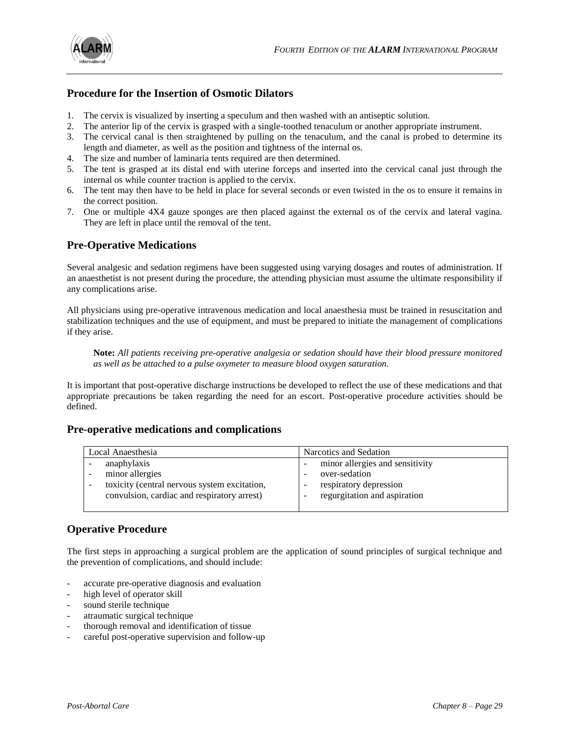

# **Procedure for the Insertion of Osmotic Dilators**

- 1. The cervix is visualized by inserting a speculum and then washed with an antiseptic solution.
- 2. The anterior lip of the cervix is grasped with a single-toothed tenaculum or another appropriate instrument.
- 3. The cervical canal is then straightened by pulling on the tenaculum, and the canal is probed to determine its length and diameter, as well as the position and tightness of the internal os.
- 4. The size and number of laminaria tents required are then determined.
- 5. The tent is grasped at its distal end with uterine forceps and inserted into the cervical canal just through the internal os while counter traction is applied to the cervix.
- 6. The tent may then have to be held in place for several seconds or even twisted in the os to ensure it remains in the correct position.
- 7. One or multiple 4X4 gauze sponges are then placed against the external os of the cervix and lateral vagina. They are left in place until the removal of the tent.

# **Pre-Operative Medications**

Several analgesic and sedation regimens have been suggested using varying dosages and routes of administration. If an anaesthetist is not present during the procedure, the attending physician must assume the ultimate responsibility if any complications arise.

All physicians using pre-operative intravenous medication and local anaesthesia must be trained in resuscitation and stabilization techniques and the use of equipment, and must be prepared to initiate the management of complications if they arise.

**Note:** *All patients receiving pre-operative analgesia or sedation should have their blood pressure monitored as well as be attached to a pulse oxymeter to measure blood oxygen saturation.*

It is important that post-operative discharge instructions be developed to reflect the use of these medications and that appropriate precautions be taken regarding the need for an escort. Post-operative procedure activities should be defined.

# **Pre-operative medications and complications**

| Local Anaesthesia                                                                                                             | Narcotics and Sedation                                                                                     |
|-------------------------------------------------------------------------------------------------------------------------------|------------------------------------------------------------------------------------------------------------|
| anaphylaxis<br>minor allergies<br>toxicity (central nervous system excitation,<br>convulsion, cardiac and respiratory arrest) | minor allergies and sensitivity<br>over-sedation<br>respiratory depression<br>regurgitation and aspiration |
|                                                                                                                               |                                                                                                            |

# **Operative Procedure**

The first steps in approaching a surgical problem are the application of sound principles of surgical technique and the prevention of complications, and should include:

- accurate pre-operative diagnosis and evaluation
- high level of operator skill
- sound sterile technique
- atraumatic surgical technique
- thorough removal and identification of tissue
- careful post-operative supervision and follow-up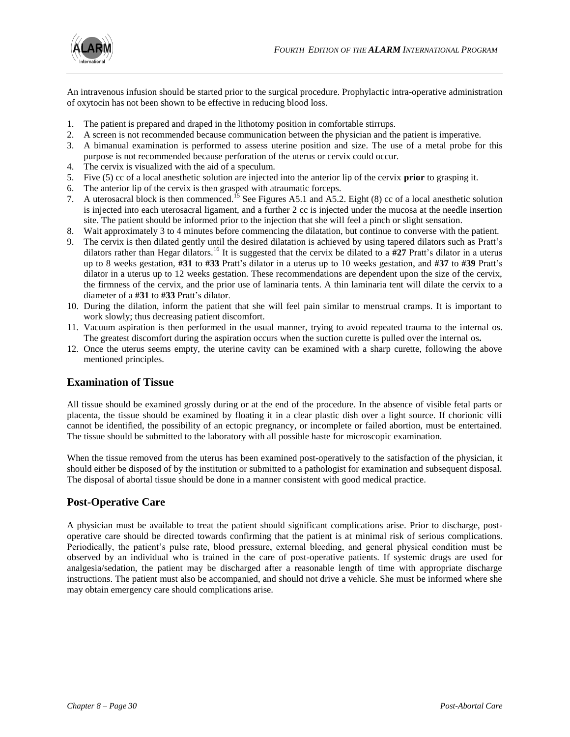

An intravenous infusion should be started prior to the surgical procedure. Prophylactic intra-operative administration of oxytocin has not been shown to be effective in reducing blood loss.

- 1. The patient is prepared and draped in the lithotomy position in comfortable stirrups.
- 2. A screen is not recommended because communication between the physician and the patient is imperative.
- 3. A bimanual examination is performed to assess uterine position and size. The use of a metal probe for this purpose is not recommended because perforation of the uterus or cervix could occur.
- 4. The cervix is visualized with the aid of a speculum.
- 5. Five (5) cc of a local anesthetic solution are injected into the anterior lip of the cervix **prior** to grasping it.
- 6. The anterior lip of the cervix is then grasped with atraumatic forceps.
- 7. A uterosacral block is then commenced.<sup>15</sup> See Figures A5.1 and A5.2. Eight (8) cc of a local anesthetic solution is injected into each uterosacral ligament, and a further 2 cc is injected under the mucosa at the needle insertion site. The patient should be informed prior to the injection that she will feel a pinch or slight sensation.
- 8. Wait approximately 3 to 4 minutes before commencing the dilatation, but continue to converse with the patient.
- 9. The cervix is then dilated gently until the desired dilatation is achieved by using tapered dilators such as Pratt's dilators rather than Hegar dilators.<sup>16</sup> It is suggested that the cervix be dilated to a  $#27$  Pratt's dilator in a uterus up to 8 weeks gestation, **#31** to **#33** Pratt's dilator in a uterus up to 10 weeks gestation, and **#37** to **#39** Pratt's dilator in a uterus up to 12 weeks gestation. These recommendations are dependent upon the size of the cervix, the firmness of the cervix, and the prior use of laminaria tents. A thin laminaria tent will dilate the cervix to a diameter of a **#31** to **#33** Pratt's dilator.
- 10. During the dilation, inform the patient that she will feel pain similar to menstrual cramps. It is important to work slowly; thus decreasing patient discomfort.
- 11. Vacuum aspiration is then performed in the usual manner, trying to avoid repeated trauma to the internal os. The greatest discomfort during the aspiration occurs when the suction curette is pulled over the internal os**.**
- 12. Once the uterus seems empty, the uterine cavity can be examined with a sharp curette, following the above mentioned principles.

# **Examination of Tissue**

All tissue should be examined grossly during or at the end of the procedure. In the absence of visible fetal parts or placenta, the tissue should be examined by floating it in a clear plastic dish over a light source. If chorionic villi cannot be identified, the possibility of an ectopic pregnancy, or incomplete or failed abortion, must be entertained. The tissue should be submitted to the laboratory with all possible haste for microscopic examination.

When the tissue removed from the uterus has been examined post-operatively to the satisfaction of the physician, it should either be disposed of by the institution or submitted to a pathologist for examination and subsequent disposal. The disposal of abortal tissue should be done in a manner consistent with good medical practice.

# **Post-Operative Care**

A physician must be available to treat the patient should significant complications arise. Prior to discharge, postoperative care should be directed towards confirming that the patient is at minimal risk of serious complications. Periodically, the patient's pulse rate, blood pressure, external bleeding, and general physical condition must be observed by an individual who is trained in the care of post-operative patients. If systemic drugs are used for analgesia/sedation, the patient may be discharged after a reasonable length of time with appropriate discharge instructions. The patient must also be accompanied, and should not drive a vehicle. She must be informed where she may obtain emergency care should complications arise.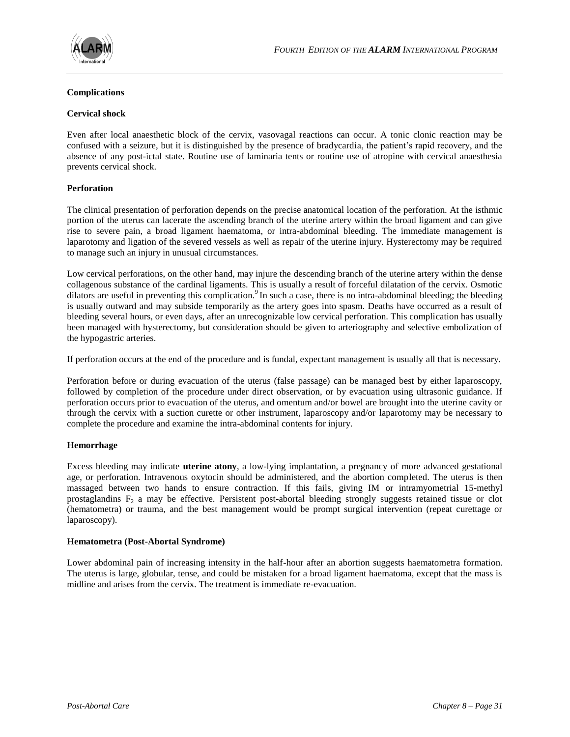

#### **Complications**

#### **Cervical shock**

Even after local anaesthetic block of the cervix, vasovagal reactions can occur. A tonic clonic reaction may be confused with a seizure, but it is distinguished by the presence of bradycardia, the patient's rapid recovery, and the absence of any post-ictal state. Routine use of laminaria tents or routine use of atropine with cervical anaesthesia prevents cervical shock.

#### **Perforation**

The clinical presentation of perforation depends on the precise anatomical location of the perforation. At the isthmic portion of the uterus can lacerate the ascending branch of the uterine artery within the broad ligament and can give rise to severe pain, a broad ligament haematoma, or intra-abdominal bleeding. The immediate management is laparotomy and ligation of the severed vessels as well as repair of the uterine injury. Hysterectomy may be required to manage such an injury in unusual circumstances.

Low cervical perforations, on the other hand, may injure the descending branch of the uterine artery within the dense collagenous substance of the cardinal ligaments. This is usually a result of forceful dilatation of the cervix. Osmotic dilators are useful in preventing this complication.<sup>9</sup> In such a case, there is no intra-abdominal bleeding; the bleeding is usually outward and may subside temporarily as the artery goes into spasm. Deaths have occurred as a result of bleeding several hours, or even days, after an unrecognizable low cervical perforation. This complication has usually been managed with hysterectomy, but consideration should be given to arteriography and selective embolization of the hypogastric arteries.

If perforation occurs at the end of the procedure and is fundal, expectant management is usually all that is necessary.

Perforation before or during evacuation of the uterus (false passage) can be managed best by either laparoscopy, followed by completion of the procedure under direct observation, or by evacuation using ultrasonic guidance. If perforation occurs prior to evacuation of the uterus, and omentum and/or bowel are brought into the uterine cavity or through the cervix with a suction curette or other instrument, laparoscopy and/or laparotomy may be necessary to complete the procedure and examine the intra-abdominal contents for injury.

#### **Hemorrhage**

Excess bleeding may indicate **uterine atony**, a low-lying implantation, a pregnancy of more advanced gestational age, or perforation. Intravenous oxytocin should be administered, and the abortion completed. The uterus is then massaged between two hands to ensure contraction. If this fails, giving IM or intramyometrial 15-methyl prostaglandins  $F<sub>2</sub>$  a may be effective. Persistent post-abortal bleeding strongly suggests retained tissue or clot (hematometra) or trauma, and the best management would be prompt surgical intervention (repeat curettage or laparoscopy).

#### **Hematometra (Post-Abortal Syndrome)**

Lower abdominal pain of increasing intensity in the half-hour after an abortion suggests haematometra formation. The uterus is large, globular, tense, and could be mistaken for a broad ligament haematoma, except that the mass is midline and arises from the cervix. The treatment is immediate re-evacuation.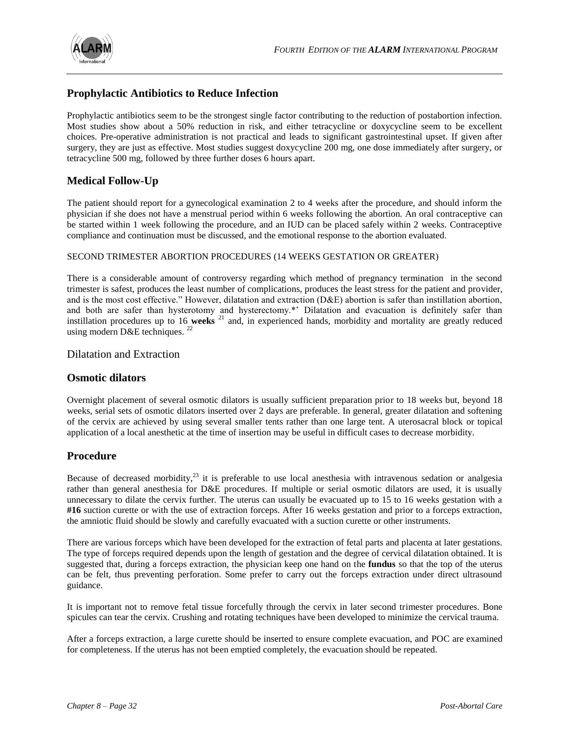

# **Prophylactic Antibiotics to Reduce Infection**

Prophylactic antibiotics seem to be the strongest single factor contributing to the reduction of postabortion infection. Most studies show about a 50% reduction in risk, and either tetracycline or doxycycline seem to be excellent choices. Pre-operative administration is not practical and leads to significant gastrointestinal upset. If given after surgery, they are just as effective. Most studies suggest doxycycline 200 mg, one dose immediately after surgery, or tetracycline 500 mg, followed by three further doses 6 hours apart.

# **Medical Follow-Up**

The patient should report for a gynecological examination 2 to 4 weeks after the procedure, and should inform the physician if she does not have a menstrual period within 6 weeks following the abortion. An oral contraceptive can be started within 1 week following the procedure, and an IUD can be placed safely within 2 weeks. Contraceptive compliance and continuation must be discussed, and the emotional response to the abortion evaluated.

#### SECOND TRIMESTER ABORTION PROCEDURES (14 WEEKS GESTATION OR GREATER)

There is a considerable amount of controversy regarding which method of pregnancy termination in the second trimester is safest, produces the least number of complications, produces the least stress for the patient and provider, and is the most cost effective." However, dilatation and extraction  $(DAE)$  abortion is safer than instillation abortion, and both are safer than hysterotomy and hysterectomy.\*' Dilatation and evacuation is definitely safer than instillation procedures up to 16 **weeks** <sup>21</sup> and, in experienced hands, morbidity and mortality are greatly reduced using modern D&E techniques. <sup>22</sup>

#### Dilatation and Extraction

#### **Osmotic dilators**

Overnight placement of several osmotic dilators is usually sufficient preparation prior to 18 weeks but, beyond 18 weeks, serial sets of osmotic dilators inserted over 2 days are preferable. In general, greater dilatation and softening of the cervix are achieved by using several smaller tents rather than one large tent. A uterosacral block or topical application of a local anesthetic at the time of insertion may be useful in difficult cases to decrease morbidity.

# **Procedure**

Because of decreased morbidity, $^{23}$  it is preferable to use local anesthesia with intravenous sedation or analgesia rather than general anesthesia for D&E procedures. If multiple or serial osmotic dilators are used, it is usually unnecessary to dilate the cervix further. The uterus can usually be evacuated up to 15 to 16 weeks gestation with a **#16** suction curette or with the use of extraction forceps. After 16 weeks gestation and prior to a forceps extraction, the amniotic fluid should be slowly and carefully evacuated with a suction curette or other instruments.

There are various forceps which have been developed for the extraction of fetal parts and placenta at later gestations. The type of forceps required depends upon the length of gestation and the degree of cervical dilatation obtained. It is suggested that, during a forceps extraction, the physician keep one hand on the **fundus** so that the top of the uterus can be felt, thus preventing perforation. Some prefer to carry out the forceps extraction under direct ultrasound guidance.

It is important not to remove fetal tissue forcefully through the cervix in later second trimester procedures. Bone spicules can tear the cervix. Crushing and rotating techniques have been developed to minimize the cervical trauma.

After a forceps extraction, a large curette should be inserted to ensure complete evacuation, and POC are examined for completeness. If the uterus has not been emptied completely, the evacuation should be repeated.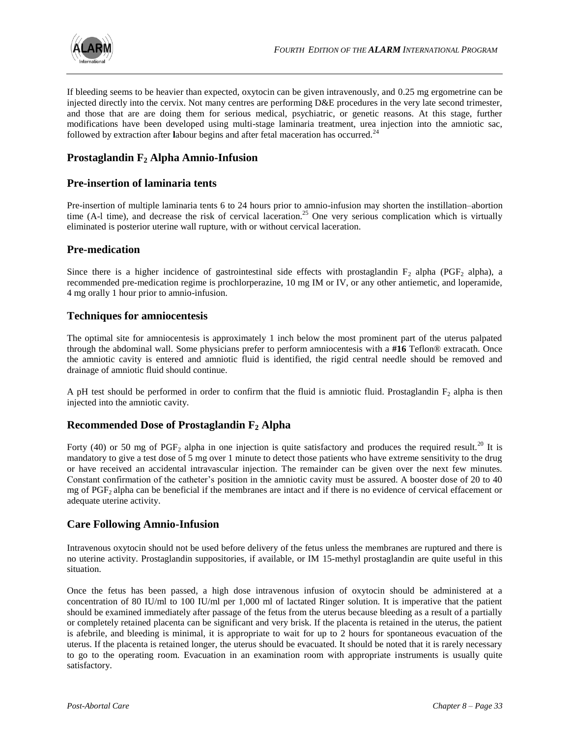

If bleeding seems to be heavier than expected, oxytocin can be given intravenously, and 0.25 mg ergometrine can be injected directly into the cervix. Not many centres are performing D&E procedures in the very late second trimester, and those that are are doing them for serious medical, psychiatric, or genetic reasons. At this stage, further modifications have been developed using multi-stage laminaria treatment, urea injection into the amniotic sac, followed by extraction after **l**abour begins and after fetal maceration has occurred.<sup>24</sup>

# **Prostaglandin F<sup>2</sup> Alpha Amnio-Infusion**

# **Pre-insertion of laminaria tents**

Pre-insertion of multiple laminaria tents 6 to 24 hours prior to amnio-infusion may shorten the instillation–abortion time (A-1 time), and decrease the risk of cervical laceration.<sup>25</sup> One very serious complication which is virtually eliminated is posterior uterine wall rupture, with or without cervical laceration.

# **Pre-medication**

Since there is a higher incidence of gastrointestinal side effects with prostaglandin  $F_2$  alpha (PGF<sub>2</sub> alpha), a recommended pre-medication regime is prochlorperazine, 10 mg IM or IV, or any other antiemetic, and loperamide, 4 mg orally 1 hour prior to amnio-infusion.

# **Techniques for amniocentesis**

The optimal site for amniocentesis is approximately 1 inch below the most prominent part of the uterus palpated through the abdominal wall. Some physicians prefer to perform amniocentesis with a **#16** Teflon® extracath. Once the amniotic cavity is entered and amniotic fluid is identified, the rigid central needle should be removed and drainage of amniotic fluid should continue.

A pH test should be performed in order to confirm that the fluid is amniotic fluid. Prostaglandin  $F_2$  alpha is then injected into the amniotic cavity.

# **Recommended Dose of Prostaglandin F<sup>2</sup> Alpha**

Forty (40) or 50 mg of  $PGF_2$  alpha in one injection is quite satisfactory and produces the required result.<sup>20</sup> It is mandatory to give a test dose of 5 mg over 1 minute to detect those patients who have extreme sensitivity to the drug or have received an accidental intravascular injection. The remainder can be given over the next few minutes. Constant confirmation of the catheter's position in the amniotic cavity must be assured. A booster dose of 20 to 40 mg of PGF2 alpha can be beneficial if the membranes are intact and if there is no evidence of cervical effacement or adequate uterine activity.

# **Care Following Amnio-Infusion**

Intravenous oxytocin should not be used before delivery of the fetus unless the membranes are ruptured and there is no uterine activity. Prostaglandin suppositories, if available, or IM 15-methyl prostaglandin are quite useful in this situation.

Once the fetus has been passed, a high dose intravenous infusion of oxytocin should be administered at a concentration of 80 IU/ml to 100 IU/ml per 1,000 ml of lactated Ringer solution. It is imperative that the patient should be examined immediately after passage of the fetus from the uterus because bleeding as a result of a partially or completely retained placenta can be significant and very brisk. If the placenta is retained in the uterus, the patient is afebrile, and bleeding is minimal, it is appropriate to wait for up to 2 hours for spontaneous evacuation of the uterus. If the placenta is retained longer, the uterus should be evacuated. It should be noted that it is rarely necessary to go to the operating room. Evacuation in an examination room with appropriate instruments is usually quite satisfactory.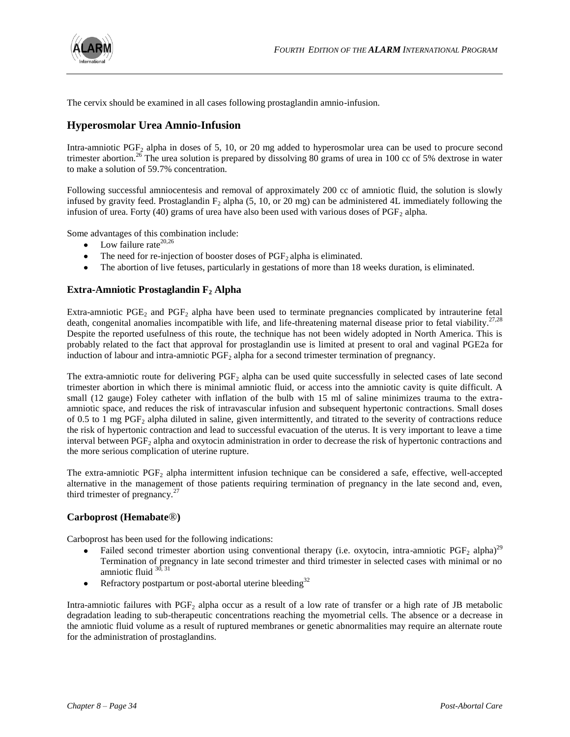

The cervix should be examined in all cases following prostaglandin amnio-infusion.

# **Hyperosmolar Urea Amnio-Infusion**

Intra-amniotic PGF<sup>2</sup> alpha in doses of 5, 10, or 20 mg added to hyperosmolar urea can be used to procure second trimester abortion.<sup>26</sup> The urea solution is prepared by dissolving 80 grams of urea in 100 cc of 5% dextrose in water to make a solution of 59.7% concentration.

Following successful amniocentesis and removal of approximately 200 cc of amniotic fluid, the solution is slowly infused by gravity feed. Prostaglandin  $F_2$  alpha (5, 10, or 20 mg) can be administered 4L immediately following the infusion of urea. Forty (40) grams of urea have also been used with various doses of  $PGF<sub>2</sub>$  alpha.

Some advantages of this combination include:

- Low failure rate<sup>20,26</sup>
- $\bullet$ The need for re-injection of booster doses of  $PGF<sub>2</sub>$  alpha is eliminated.
- $\bullet$ The abortion of live fetuses, particularly in gestations of more than 18 weeks duration, is eliminated.

#### **Extra-Amniotic Prostaglandin F<sup>2</sup> Alpha**

Extra-amniotic PGE<sub>2</sub> and PGF<sub>2</sub> alpha have been used to terminate pregnancies complicated by intrauterine fetal death, congenital anomalies incompatible with life, and life-threatening maternal disease prior to fetal viability.<sup>27,28</sup> Despite the reported usefulness of this route, the technique has not been widely adopted in North America. This is probably related to the fact that approval for prostaglandin use is limited at present to oral and vaginal PGE2a for induction of labour and intra-amniotic PGF<sub>2</sub> alpha for a second trimester termination of pregnancy.

The extra-amniotic route for delivering  $PGF<sub>2</sub>$  alpha can be used quite successfully in selected cases of late second trimester abortion in which there is minimal amniotic fluid, or access into the amniotic cavity is quite difficult. A small (12 gauge) Foley catheter with inflation of the bulb with 15 ml of saline minimizes trauma to the extraamniotic space, and reduces the risk of intravascular infusion and subsequent hypertonic contractions. Small doses of 0.5 to 1 mg PGF<sup>2</sup> alpha diluted in saline, given intermittently, and titrated to the severity of contractions reduce the risk of hypertonic contraction and lead to successful evacuation of the uterus. It is very important to leave a time interval between  $PGF<sub>2</sub>$  alpha and oxytocin administration in order to decrease the risk of hypertonic contractions and the more serious complication of uterine rupture.

The extra-amniotic  $PGF_2$  alpha intermittent infusion technique can be considered a safe, effective, well-accepted alternative in the management of those patients requiring termination of pregnancy in the late second and, even, third trimester of pregnancy. $27$ 

#### **Carboprost (Hemabate**®**)**

Carboprost has been used for the following indications:

- Failed second trimester abortion using conventional therapy (i.e. oxytocin, intra-amniotic PGF<sub>2</sub> alpha)<sup>29</sup> Termination of pregnancy in late second trimester and third trimester in selected cases with minimal or no amniotic fluid  $30,31$
- Refractory postpartum or post-abortal uterine bleeding<sup>32</sup>  $\bullet$

Intra-amniotic failures with PGF<sub>2</sub> alpha occur as a result of a low rate of transfer or a high rate of JB metabolic degradation leading to sub-therapeutic concentrations reaching the myometrial cells. The absence or a decrease in the amniotic fluid volume as a result of ruptured membranes or genetic abnormalities may require an alternate route for the administration of prostaglandins.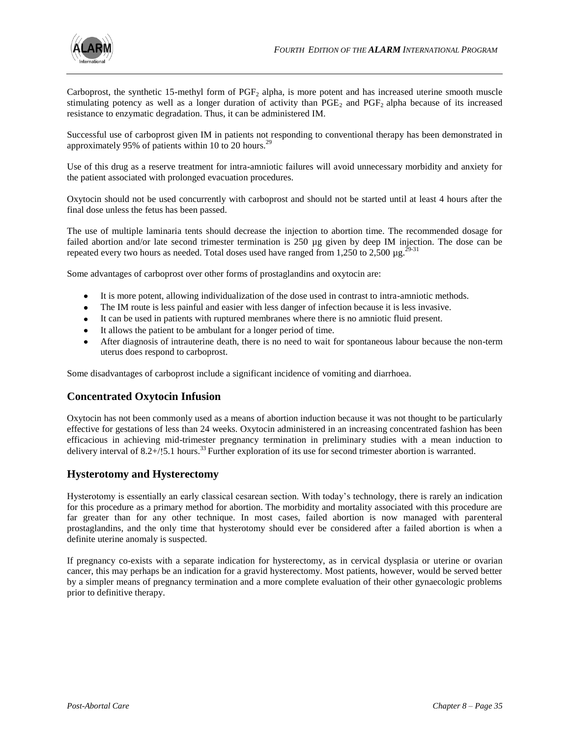Carboprost, the synthetic 15-methyl form of  $PGF_2$  alpha, is more potent and has increased uterine smooth muscle stimulating potency as well as a longer duration of activity than  $PGE<sub>2</sub>$  and  $PGF<sub>2</sub>$  alpha because of its increased resistance to enzymatic degradation. Thus, it can be administered IM.

Successful use of carboprost given IM in patients not responding to conventional therapy has been demonstrated in approximately 95% of patients within 10 to 20 hours.<sup>29</sup>

Use of this drug as a reserve treatment for intra-amniotic failures will avoid unnecessary morbidity and anxiety for the patient associated with prolonged evacuation procedures.

Oxytocin should not be used concurrently with carboprost and should not be started until at least 4 hours after the final dose unless the fetus has been passed.

The use of multiple laminaria tents should decrease the injection to abortion time. The recommended dosage for failed abortion and/or late second trimester termination is 250 µg given by deep IM injection. The dose can be repeated every two hours as needed. Total doses used have ranged from 1,250 to 2,500  $\mu$ g.<sup>29-31</sup>

Some advantages of carboprost over other forms of prostaglandins and oxytocin are:

- $\bullet$ It is more potent, allowing individualization of the dose used in contrast to intra-amniotic methods.
- The IM route is less painful and easier with less danger of infection because it is less invasive.  $\bullet$
- It can be used in patients with ruptured membranes where there is no amniotic fluid present.  $\bullet$
- It allows the patient to be ambulant for a longer period of time.
- After diagnosis of intrauterine death, there is no need to wait for spontaneous labour because the non-term uterus does respond to carboprost.

Some disadvantages of carboprost include a significant incidence of vomiting and diarrhoea.

# **Concentrated Oxytocin Infusion**

Oxytocin has not been commonly used as a means of abortion induction because it was not thought to be particularly effective for gestations of less than 24 weeks. Oxytocin administered in an increasing concentrated fashion has been efficacious in achieving mid-trimester pregnancy termination in preliminary studies with a mean induction to delivery interval of 8.2+/!5.1 hours.<sup>33</sup> Further exploration of its use for second trimester abortion is warranted.

# **Hysterotomy and Hysterectomy**

Hysterotomy is essentially an early classical cesarean section. With today's technology, there is rarely an indication for this procedure as a primary method for abortion. The morbidity and mortality associated with this procedure are far greater than for any other technique. In most cases, failed abortion is now managed with parenteral prostaglandins, and the only time that hysterotomy should ever be considered after a failed abortion is when a definite uterine anomaly is suspected.

If pregnancy co-exists with a separate indication for hysterectomy, as in cervical dysplasia or uterine or ovarian cancer, this may perhaps be an indication for a gravid hysterectomy. Most patients, however, would be served better by a simpler means of pregnancy termination and a more complete evaluation of their other gynaecologic problems prior to definitive therapy.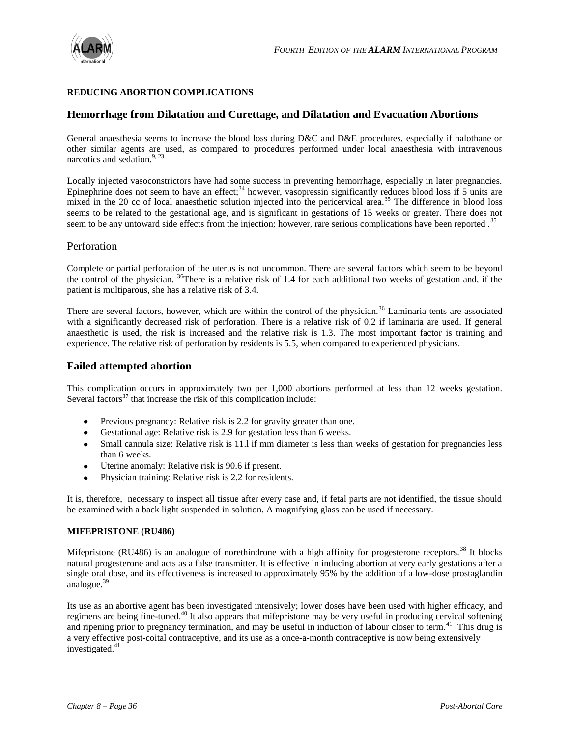

#### **REDUCING ABORTION COMPLICATIONS**

# **Hemorrhage from Dilatation and Curettage, and Dilatation and Evacuation Abortions**

General anaesthesia seems to increase the blood loss during D&C and D&E procedures, especially if halothane or other similar agents are used, as compared to procedures performed under local anaesthesia with intravenous narcotics and sedation. $9, 23$ 

Locally injected vasoconstrictors have had some success in preventing hemorrhage, especially in later pregnancies. Epinephrine does not seem to have an effect;<sup>34</sup> however, vasopressin significantly reduces blood loss if 5 units are mixed in the 20 cc of local anaesthetic solution injected into the pericervical area.<sup>35</sup> The difference in blood loss seems to be related to the gestational age, and is significant in gestations of 15 weeks or greater. There does not seem to be any untoward side effects from the injection; however, rare serious complications have been reported .<sup>35</sup>

#### Perforation

Complete or partial perforation of the uterus is not uncommon. There are several factors which seem to be beyond the control of the physician. <sup>36</sup>There is a relative risk of 1.4 for each additional two weeks of gestation and, if the patient is multiparous, she has a relative risk of 3.4.

There are several factors, however, which are within the control of the physician.<sup>36</sup> Laminaria tents are associated with a significantly decreased risk of perforation. There is a relative risk of 0.2 if laminaria are used. If general anaesthetic is used, the risk is increased and the relative risk is 1.3. The most important factor is training and experience. The relative risk of perforation by residents is 5.5, when compared to experienced physicians.

# **Failed attempted abortion**

This complication occurs in approximately two per 1,000 abortions performed at less than 12 weeks gestation. Several factors $37$  that increase the risk of this complication include:

- Previous pregnancy: Relative risk is 2.2 for gravity greater than one.
- Gestational age: Relative risk is 2.9 for gestation less than 6 weeks.
- Small cannula size: Relative risk is 11.l if mm diameter is less than weeks of gestation for pregnancies less than 6 weeks.
- Uterine anomaly: Relative risk is 90.6 if present.
- Physician training: Relative risk is 2.2 for residents.

It is, therefore, necessary to inspect all tissue after every case and, if fetal parts are not identified, the tissue should be examined with a back light suspended in solution. A magnifying glass can be used if necessary.

#### **MIFEPRISTONE (RU486)**

Mifepristone (RU486) is an analogue of norethindrone with a high affinity for progesterone receptors.<sup>38</sup> It blocks natural progesterone and acts as a false transmitter. It is effective in inducing abortion at very early gestations after a single oral dose, and its effectiveness is increased to approximately 95% by the addition of a low-dose prostaglandin analogue.<sup>39</sup>

Its use as an abortive agent has been investigated intensively; lower doses have been used with higher efficacy, and regimens are being fine-tuned.<sup>40</sup> It also appears that mifepristone may be very useful in producing cervical softening and ripening prior to pregnancy termination, and may be useful in induction of labour closer to term.<sup>41</sup> This drug is a very effective post-coital contraceptive, and its use as a once-a-month contraceptive is now being extensively investigated.<sup>41</sup>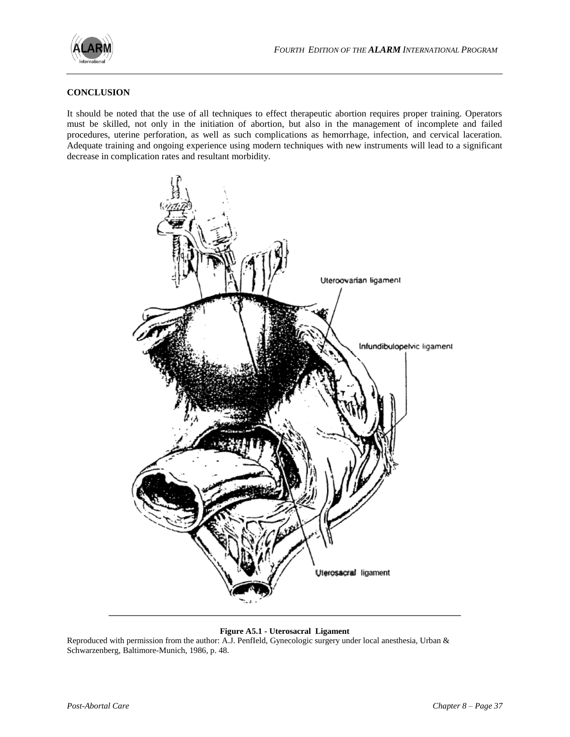

#### **CONCLUSION**

It should be noted that the use of all techniques to effect therapeutic abortion requires proper training. Operators must be skilled, not only in the initiation of abortion, but also in the management of incomplete and failed procedures, uterine perforation, as well as such complications as hemorrhage, infection, and cervical laceration. Adequate training and ongoing experience using modern techniques with new instruments will lead to a significant decrease in complication rates and resultant morbidity.



#### **Figure A5.1 - Uterosacral Ligament**

Reproduced with permission from the author: A.J. PenfIeld, Gynecologic surgery under local anesthesia, Urban & Schwarzenberg, Baltimore-Munich, 1986, p. 48.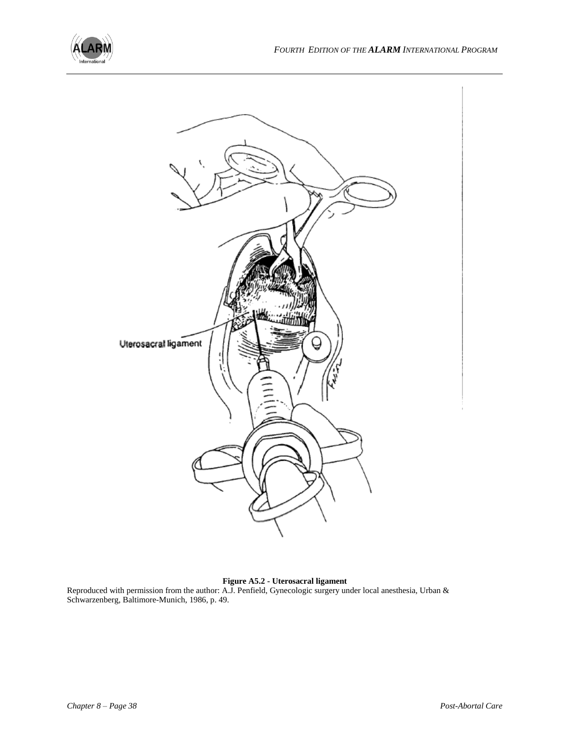



#### **Figure A5.2 - Uterosacral ligament**

Reproduced with permission from the author: A.J. Penfield, Gynecologic surgery under local anesthesia, Urban & Schwarzenberg, Baltimore-Munich, 1986, p. 49.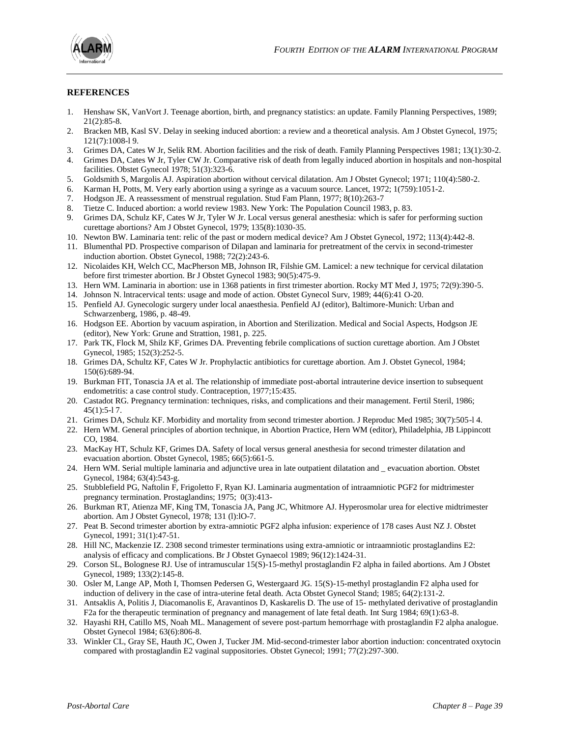

#### **REFERENCES**

- 1. Henshaw SK, VanVort J. Teenage abortion, birth, and pregnancy statistics: an update. Family Planning Perspectives, 1989;  $21(2)$ :85-8.
- 2. Bracken MB, Kasl SV. Delay in seeking induced abortion: a review and a theoretical analysis. Am J Obstet Gynecol, 1975; 121(7):1008-l 9.
- 3. Grimes DA, Cates W Jr, Selik RM. Abortion facilities and the risk of death. Family Planning Perspectives 1981; 13(1):30-2.
- 4. Grimes DA, Cates W Jr, Tyler CW Jr. Comparative risk of death from legally induced abortion in hospitals and non-hospital facilities. Obstet Gynecol 1978; 51(3):323-6.
- 5. Goldsmith S, Margolis AJ. Aspiration abortion without cervical dilatation. Am J Obstet Gynecol; 1971; 110(4):580-2.
- 6. Karman H, Potts, M. Very early abortion using a syringe as a vacuum source. Lancet, 1972; 1(759):1051-2.
- 7. Hodgson JE. A reassessment of menstrual regulation. Stud Fam Plann, 1977; 8(10):263-7
- 8. Tietze C. Induced abortion: a world review 1983. New York: The Population Council 1983, p. 83.
- 9. Grimes DA, Schulz KF, Cates W Jr, Tyler W Jr. Local versus general anesthesia: which is safer for performing suction curettage abortions? Am J Obstet Gynecol, 1979; 135(8):1030-35.
- 10. Newton BW. Laminaria tent: relic of the past or modern medical device? Am J Obstet Gynecol, 1972; 113(4):442-8.
- 11. Blumenthal PD. Prospective comparison of Dilapan and laminaria for pretreatment of the cervix in second-trimester induction abortion. Obstet Gynecol, 1988; 72(2):243-6.
- 12. Nicolaides KH, Welch CC, MacPherson MB, Johnson IR, Filshie GM. Lamicel: a new technique for cervical dilatation before first trimester abortion. Br J Obstet Gynecol 1983; 90(5):475-9.
- 13. Hern WM. Laminaria in abortion: use in 1368 patients in first trimester abortion. Rocky MT Med J, 1975; 72(9):390-5.
- 14. Johnson N. lntracervical tents: usage and mode of action. Obstet Gynecol Surv, 1989; 44(6):41 O-20.
- 15. Penfield AJ. Gynecologic surgery under local anaesthesia. Penfield AJ (editor), Baltimore-Munich: Urban and Schwarzenberg, 1986, p. 48-49.
- 16. Hodgson EE. Abortion by vacuum aspiration, in Abortion and Sterilization. Medical and Social Aspects, Hodgson JE (editor), New York: Grune and Strattion, 1981, p. 225.
- 17. Park TK, Flock M, Shilz KF, Grimes DA. Preventing febrile complications of suction curettage abortion. Am J Obstet Gynecol, 1985; 152(3):252-5.
- 18. Grimes DA, Schultz KF, Cates W Jr. Prophylactic antibiotics for curettage abortion. Am J. Obstet Gynecol, 1984; 150(6):689-94.
- 19. Burkman FIT, Tonascia JA et al. The relationship of immediate post-abortal intrauterine device insertion to subsequent endometritis: a case control study. Contraception, 1977;15:435.
- 20. Castadot RG. Pregnancy termination: techniques, risks, and complications and their management. Fertil Steril, 1986;  $45(1):5-17$ .
- 21. Grimes DA, Schulz KF. Morbidity and mortality from second trimester abortion. J Reproduc Med 1985; 30(7):505-l 4.
- 22. Hern WM. General principles of abortion technique, in Abortion Practice, Hern WM (editor), Philadelphia, JB Lippincott CO, 1984.
- 23. MacKay HT, Schulz KF, Grimes DA. Safety of local versus general anesthesia for second trimester dilatation and evacuation abortion. Obstet Gynecol, 1985; 66(5):661-5.
- 24. Hern WM. Serial multiple laminaria and adjunctive urea in late outpatient dilatation and \_ evacuation abortion. Obstet Gynecol, 1984; 63(4):543-g.
- 25. Stubblefield PG, Naftolin F, Frigoletto F, Ryan KJ. Laminaria augmentation of intraamniotic PGF2 for midtrimester pregnancy termination. Prostaglandins; 1975; 0(3):413-
- 26. Burkman RT, Atienza MF, King TM, Tonascia JA, Pang JC, Whitmore AJ. Hyperosmolar urea for elective midtrimester abortion. Am J Obstet Gynecol, 1978; 131 (l):lO-7.
- 27. Peat B. Second trimester abortion by extra-amniotic PGF2 alpha infusion: experience of 178 cases Aust NZ J. Obstet Gynecol, 1991; 31(1):47-51.
- 28. Hill NC, Mackenzie IZ. 2308 second trimester terminations using extra-amniotic or intraamniotic prostaglandins E2: analysis of efficacy and complications. Br J Obstet Gynaecol 1989; 96(12):1424-31.
- 29. Corson SL, Bolognese RJ. Use of intramuscular 15(S)-15-methyl prostaglandin F2 alpha in failed abortions. Am J Obstet Gynecol, 1989; 133(2):145-8.
- 30. Osler M, Lange AP, Moth I, Thomsen Pedersen G, Westergaard JG. 15(S)-15-methyl prostaglandin F2 alpha used for induction of delivery in the case of intra-uterine fetal death. Acta Obstet Gynecol Stand; 1985; 64(2):131-2.
- 31. Antsaklis A, Politis J, Diacomanolis E, Aravantinos D, Kaskarelis D. The use of 15- methylated derivative of prostaglandin F2a for the therapeutic termination of pregnancy and management of late fetal death. Int Surg 1984; 69(1):63-8.
- 32. Hayashi RH, Catillo MS, Noah ML. Management of severe post-partum hemorrhage with prostaglandin F2 alpha analogue. Obstet Gynecol 1984; 63(6):806-8.
- 33. Winkler CL, Gray SE, Hauth JC, Owen J, Tucker JM. Mid-second-trimester labor abortion induction: concentrated oxytocin compared with prostaglandin E2 vaginal suppositories. Obstet Gynecol; 1991; 77(2):297-300.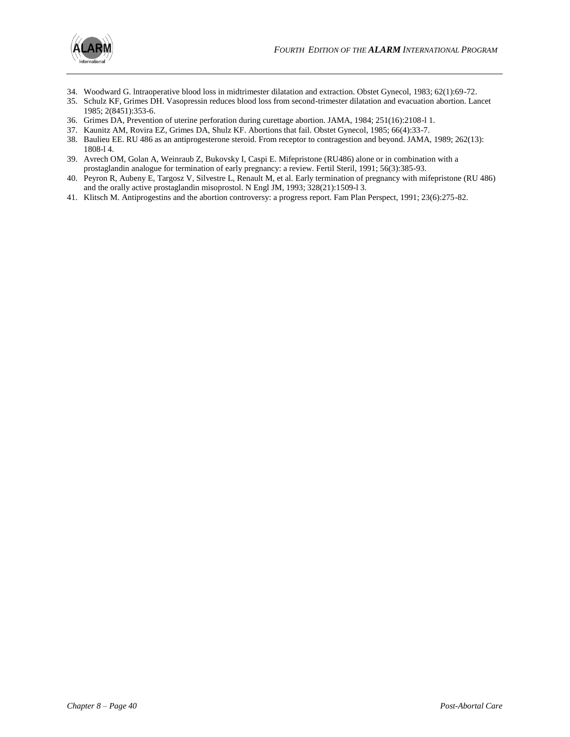



- 34. Woodward G. lntraoperative blood loss in midtrimester dilatation and extraction. Obstet Gynecol, 1983; 62(1):69-72.
- 35. Schulz KF, Grimes DH. Vasopressin reduces blood loss from second-trimester dilatation and evacuation abortion. Lancet 1985; 2(8451):353-6.
- 36. Grimes DA, Prevention of uterine perforation during curettage abortion. JAMA, 1984; 251(16):2108-l 1.
- 37. Kaunitz AM, Rovira EZ, Grimes DA, Shulz KF. Abortions that fail. Obstet Gynecol, 1985; 66(4):33-7.
- 38. Baulieu EE. RU 486 as an antiprogesterone steroid. From receptor to contragestion and beyond. JAMA, 1989; 262(13): 1808-l 4.
- 39. Avrech OM, Golan A, Weinraub Z, Bukovsky I, Caspi E. Mifepristone (RU486) alone or in combination with a prostaglandin analogue for termination of early pregnancy: a review. Fertil Steril, 1991; 56(3):385-93.
- 40. Peyron R, Aubeny E, Targosz V, Silvestre L, Renault M, et al. Early termination of pregnancy with mifepristone (RU 486) and the orally active prostaglandin misoprostol. N Engl JM, 1993; 328(21):1509-l 3.
- 41. Klitsch M. Antiprogestins and the abortion controversy: a progress report. Fam Plan Perspect, 1991; 23(6):275-82.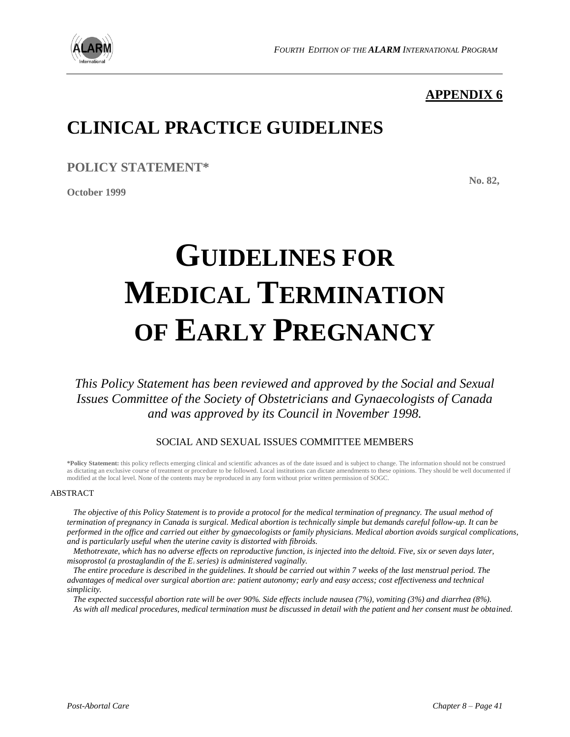

# **APPENDIX 6**

# **CLINICAL PRACTICE GUIDELINES**

**POLICY STATEMENT\***

**October 1999**

**No. 82,** 

# **GUIDELINES FOR MEDICAL TERMINATION OF EARLY PREGNANCY**

*This Policy Statement has been reviewed and approved by the Social and Sexual Issues Committee of the Society of Obstetricians and Gynaecologists of Canada and was approved by its Council in November 1998.*

# SOCIAL AND SEXUAL ISSUES COMMITTEE MEMBERS

**\*Policy Statement:** this policy reflects emerging clinical and scientific advances as of the date issued and is subject to change. The information should not be construed as dictating an exclusive course of treatment or procedure to be followed. Local institutions can dictate amendments to these opinions. They should be well documented if modified at the local level. None of the contents may be reproduced in any form without prior written permission of SOGC.

#### ABSTRACT

 *The objective of this Policy Statement is to provide a protocol for the medical termination of pregnancy. The usual method of termination of pregnancy in Canada is surgical. Medical abortion is technically simple but demands careful follow-up. It can be performed in the office and carried out either by gynaecologists or family physicians. Medical abortion avoids surgical complications, and is particularly useful when the uterine cavity is distorted with fibroids.* 

 *Methotrexate, which has no adverse effects on reproductive function, is injected into the deltoid. Five, six or seven days later, misoprostol (a prostaglandin of the E<sup>1</sup> series) is administered vaginally.*

 *The entire procedure is described in the guidelines. It should be carried out within 7 weeks of the last menstrual period. The advantages of medical over surgical abortion are: patient autonomy; early and easy access; cost effectiveness and technical simplicity.* 

 *The expected successful abortion rate will be over 90%. Side effects include nausea (7%), vomiting (3%) and diarrhea (8%). As with all medical procedures, medical termination must be discussed in detail with the patient and her consent must be obtained.*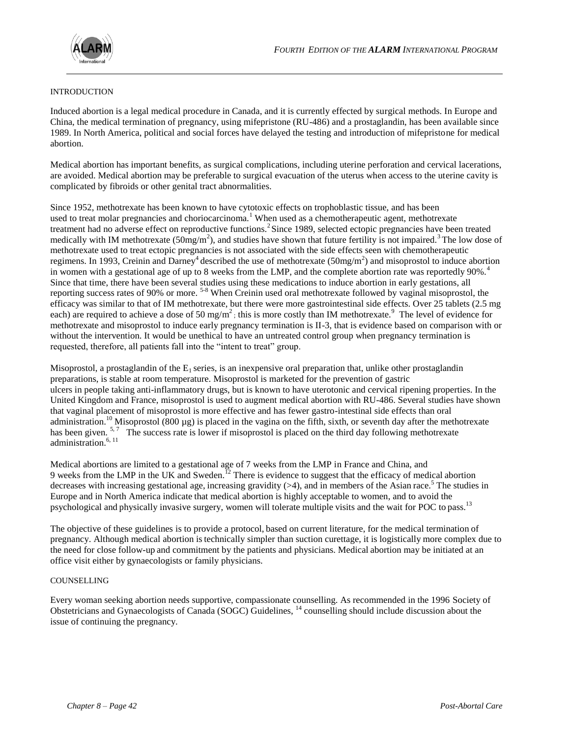

#### **INTRODUCTION**

Induced abortion is a legal medical procedure in Canada, and it is currently effected by surgical methods. In Europe and China, the medical termination of pregnancy, using mifepristone (RU-486) and a prostaglandin, has been available since 1989. In North America, political and social forces have delayed the testing and introduction of mifepristone for medical abortion.

Medical abortion has important benefits, as surgical complications, including uterine perforation and cervical lacerations, are avoided. Medical abortion may be preferable to surgical evacuation of the uterus when access to the uterine cavity is complicated by fibroids or other genital tract abnormalities.

Since 1952, methotrexate has been known to have cytotoxic effects on trophoblastic tissue, and has been used to treat molar pregnancies and choriocarcinoma.<sup>1</sup> When used as a chemotherapeutic agent, methotrexate treatment had no adverse effect on reproductive functions.<sup>2</sup> Since 1989, selected ectopic pregnancies have been treated medically with IM methotrexate  $(50mg/m^2)$ , and studies have shown that future fertility is not impaired.<sup>3</sup> The low dose of methotrexate used to treat ectopic pregnancies is not associated with the side effects seen with chemotherapeutic regimens. In 1993, Creinin and Darney<sup>4</sup> described the use of methotrexate ( $50$ mg/m<sup>2</sup>) and misoprostol to induce abortion in women with a gestational age of up to 8 weeks from the LMP, and the complete abortion rate was reportedly 90%.<sup>4</sup> Since that time, there have been several studies using these medications to induce abortion in early gestations, all reporting success rates of 90% or more. 5-8 When Creinin used oral methotrexate followed by vaginal misoprostol, the efficacy was similar to that of IM methotrexate, but there were more gastrointestinal side effects. Over 25 tablets (2.5 mg each) are required to achieve a dose of 50 mg/m<sup>2</sup>; this is more costly than IM methotrexate.<sup>9</sup> The level of evidence for methotrexate and misoprostol to induce early pregnancy termination is II-3, that is evidence based on comparison with or without the intervention. It would be unethical to have an untreated control group when pregnancy termination is requested, therefore, all patients fall into the "intent to treat" group.

Misoprostol, a prostaglandin of the  $E_1$  series, is an inexpensive oral preparation that, unlike other prostaglandin preparations, is stable at room temperature. Misoprostol is marketed for the prevention of gastric ulcers in people taking anti-inflammatory drugs, but is known to have uterotonic and cervical ripening properties. In the United Kingdom and France, misoprostol is used to augment medical abortion with RU-486. Several studies have shown that vaginal placement of misoprostol is more effective and has fewer gastro-intestinal side effects than oral administration.<sup>10</sup> Misoprostol (800 µg) is placed in the vagina on the fifth, sixth, or seventh day after the methotrexate has been given. <sup>5,7</sup> The success rate is lower if misoprostol is placed on the third day following methotrexate administration.<sup>6, 11</sup>

Medical abortions are limited to a gestational age of 7 weeks from the LMP in France and China, and 9 weeks from the LMP in the UK and Sweden.<sup>12</sup> There is evidence to suggest that the efficacy of medical abortion decreases with increasing gestational age, increasing gravidity ( $>4$ ), and in members of the Asian race.<sup>5</sup> The studies in Europe and in North America indicate that medical abortion is highly acceptable to women, and to avoid the psychological and physically invasive surgery, women will tolerate multiple visits and the wait for POC to pass.<sup>13</sup>

The objective of these guidelines is to provide a protocol, based on current literature, for the medical termination of pregnancy. Although medical abortion is technically simpler than suction curettage, it is logistically more complex due to the need for close follow-up and commitment by the patients and physicians. Medical abortion may be initiated at an office visit either by gynaecologists or family physicians.

#### COUNSELLING

Every woman seeking abortion needs supportive, compassionate counselling. As recommended in the 1996 Society of Obstetricians and Gynaecologists of Canada (SOGC) Guidelines, <sup>14</sup> counselling should include discussion about the issue of continuing the pregnancy.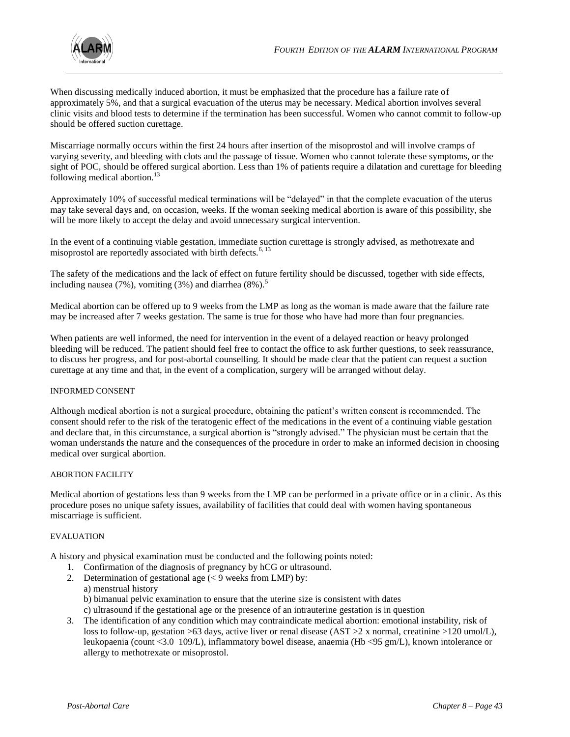When discussing medically induced abortion, it must be emphasized that the procedure has a failure rate of approximately 5%, and that a surgical evacuation of the uterus may be necessary. Medical abortion involves several clinic visits and blood tests to determine if the termination has been successful. Women who cannot commit to follow-up should be offered suction curettage.

Miscarriage normally occurs within the first 24 hours after insertion of the misoprostol and will involve cramps of varying severity, and bleeding with clots and the passage of tissue. Women who cannot tolerate these symptoms, or the sight of POC, should be offered surgical abortion. Less than 1% of patients require a dilatation and curettage for bleeding following medical abortion.<sup>13</sup>

Approximately 10% of successful medical terminations will be "delayed" in that the complete evacuation of the uterus may take several days and, on occasion, weeks. If the woman seeking medical abortion is aware of this possibility, she will be more likely to accept the delay and avoid unnecessary surgical intervention.

In the event of a continuing viable gestation, immediate suction curettage is strongly advised, as methotrexate and misoprostol are reportedly associated with birth defects.<sup>6, 13</sup>

The safety of the medications and the lack of effect on future fertility should be discussed, together with side effects, including nausea (7%), vomiting (3%) and diarrhea (8%).<sup>5</sup>

Medical abortion can be offered up to 9 weeks from the LMP as long as the woman is made aware that the failure rate may be increased after 7 weeks gestation. The same is true for those who have had more than four pregnancies.

When patients are well informed, the need for intervention in the event of a delayed reaction or heavy prolonged bleeding will be reduced. The patient should feel free to contact the office to ask further questions, to seek reassurance, to discuss her progress, and for post-abortal counselling. It should be made clear that the patient can request a suction curettage at any time and that, in the event of a complication, surgery will be arranged without delay.

#### INFORMED CONSENT

Although medical abortion is not a surgical procedure, obtaining the patient's written consent is recommended. The consent should refer to the risk of the teratogenic effect of the medications in the event of a continuing viable gestation and declare that, in this circumstance, a surgical abortion is "strongly advised." The physician must be certain that the woman understands the nature and the consequences of the procedure in order to make an informed decision in choosing medical over surgical abortion.

#### ABORTION FACILITY

Medical abortion of gestations less than 9 weeks from the LMP can be performed in a private office or in a clinic. As this procedure poses no unique safety issues, availability of facilities that could deal with women having spontaneous miscarriage is sufficient.

#### EVALUATION

A history and physical examination must be conducted and the following points noted:

- 1. Confirmation of the diagnosis of pregnancy by hCG or ultrasound.
- 2. Determination of gestational age  $(< 9$  weeks from LMP) by:
	- a) menstrual history
	- b) bimanual pelvic examination to ensure that the uterine size is consistent with dates
	- c) ultrasound if the gestational age or the presence of an intrauterine gestation is in question
- 3. The identification of any condition which may contraindicate medical abortion: emotional instability, risk of loss to follow-up, gestation >63 days, active liver or renal disease (AST >2 x normal, creatinine >120 umol/L), leukopaenia (count <3.0 109/L), inflammatory bowel disease, anaemia (Hb <95 gm/L), known intolerance or allergy to methotrexate or misoprostol.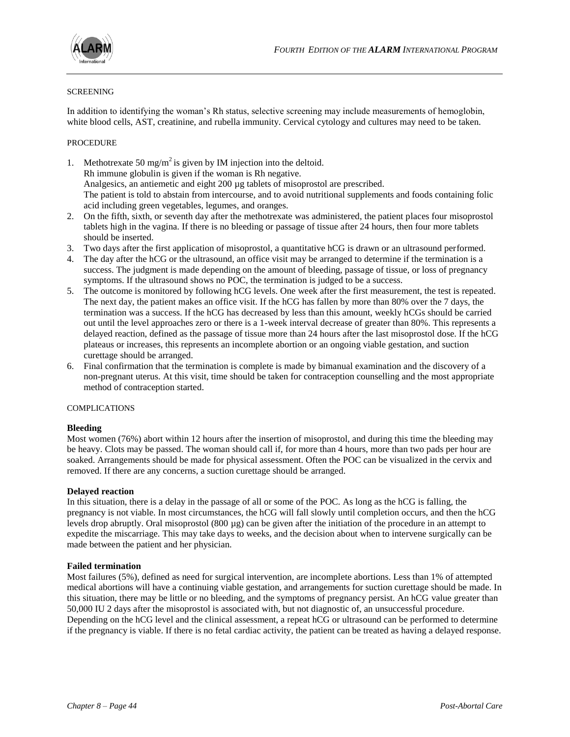

#### **SCREENING**

In addition to identifying the woman's Rh status, selective screening may include measurements of hemoglobin, white blood cells, AST, creatinine, and rubella immunity. Cervical cytology and cultures may need to be taken.

#### PROCEDURE

1. Methotrexate 50 mg/m<sup>2</sup> is given by IM injection into the deltoid. Rh immune globulin is given if the woman is Rh negative. Analgesics, an antiemetic and eight 200 µg tablets of misoprostol are prescribed. The patient is told to abstain from intercourse, and to avoid nutritional supplements and foods containing folic acid including green vegetables, legumes, and oranges.

- 2. On the fifth, sixth, or seventh day after the methotrexate was administered, the patient places four misoprostol tablets high in the vagina. If there is no bleeding or passage of tissue after 24 hours, then four more tablets should be inserted.
- 3. Two days after the first application of misoprostol, a quantitative hCG is drawn or an ultrasound performed.
- 4. The day after the hCG or the ultrasound, an office visit may be arranged to determine if the termination is a success. The judgment is made depending on the amount of bleeding, passage of tissue, or loss of pregnancy symptoms. If the ultrasound shows no POC, the termination is judged to be a success.
- 5. The outcome is monitored by following hCG levels. One week after the first measurement, the test is repeated. The next day, the patient makes an office visit. If the hCG has fallen by more than 80% over the 7 days, the termination was a success. If the hCG has decreased by less than this amount, weekly hCGs should be carried out until the level approaches zero or there is a 1-week interval decrease of greater than 80%. This represents a delayed reaction, defined as the passage of tissue more than 24 hours after the last misoprostol dose. If the hCG plateaus or increases, this represents an incomplete abortion or an ongoing viable gestation, and suction curettage should be arranged.
- 6. Final confirmation that the termination is complete is made by bimanual examination and the discovery of a non-pregnant uterus. At this visit, time should be taken for contraception counselling and the most appropriate method of contraception started.

#### **COMPLICATIONS**

#### **Bleeding**

Most women (76%) abort within 12 hours after the insertion of misoprostol, and during this time the bleeding may be heavy. Clots may be passed. The woman should call if, for more than 4 hours, more than two pads per hour are soaked. Arrangements should be made for physical assessment. Often the POC can be visualized in the cervix and removed. If there are any concerns, a suction curettage should be arranged.

#### **Delayed reaction**

In this situation, there is a delay in the passage of all or some of the POC. As long as the hCG is falling, the pregnancy is not viable. In most circumstances, the hCG will fall slowly until completion occurs, and then the hCG levels drop abruptly. Oral misoprostol (800 µg) can be given after the initiation of the procedure in an attempt to expedite the miscarriage. This may take days to weeks, and the decision about when to intervene surgically can be made between the patient and her physician.

#### **Failed termination**

Most failures (5%), defined as need for surgical intervention, are incomplete abortions. Less than 1% of attempted medical abortions will have a continuing viable gestation, and arrangements for suction curettage should be made. In this situation, there may be little or no bleeding, and the symptoms of pregnancy persist. An hCG value greater than 50,000 IU 2 days after the misoprostol is associated with, but not diagnostic of, an unsuccessful procedure. Depending on the hCG level and the clinical assessment, a repeat hCG or ultrasound can be performed to determine if the pregnancy is viable. If there is no fetal cardiac activity, the patient can be treated as having a delayed response.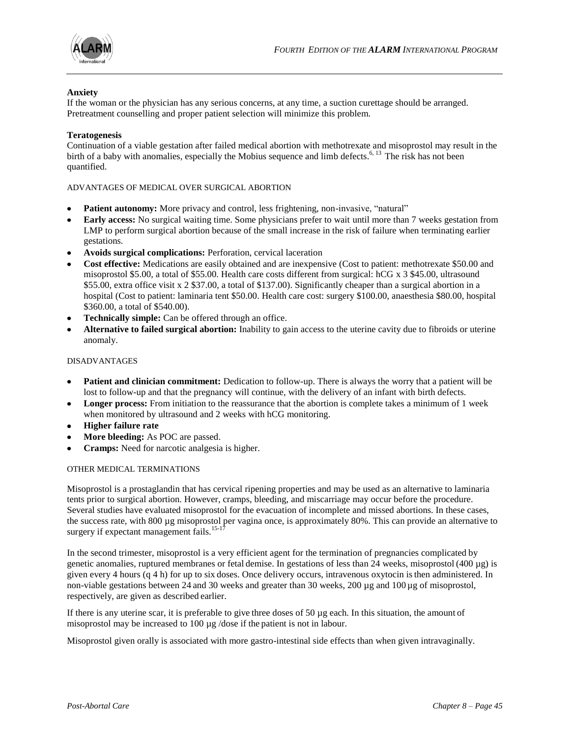

#### **Anxiety**

If the woman or the physician has any serious concerns, at any time, a suction curettage should be arranged. Pretreatment counselling and proper patient selection will minimize this problem.

#### **Teratogenesis**

Continuation of a viable gestation after failed medical abortion with methotrexate and misoprostol may result in the birth of a baby with anomalies, especially the Mobius sequence and limb defects.<sup>6, 13</sup> The risk has not been quantified.

#### ADVANTAGES OF MEDICAL OVER SURGICAL ABORTION

- **Patient autonomy:** More privacy and control, less frightening, non-invasive, "natural"
- **Early access:** No surgical waiting time. Some physicians prefer to wait until more than 7 weeks gestation from LMP to perform surgical abortion because of the small increase in the risk of failure when terminating earlier gestations.
- **Avoids surgical complications:** Perforation, cervical laceration
- **Cost effective:** Medications are easily obtained and are inexpensive (Cost to patient: methotrexate \$50.00 and misoprostol \$5.00, a total of \$55.00. Health care costs different from surgical: hCG x 3 \$45.00, ultrasound \$55.00, extra office visit x 2 \$37.00, a total of \$137.00). Significantly cheaper than a surgical abortion in a hospital (Cost to patient: laminaria tent \$50.00. Health care cost: surgery \$100.00, anaesthesia \$80.00, hospital \$360.00, a total of \$540.00).
- **Technically simple:** Can be offered through an office.
- **Alternative to failed surgical abortion:** Inability to gain access to the uterine cavity due to fibroids or uterine anomaly.

#### DISADVANTAGES

- **Patient and clinician commitment:** Dedication to follow-up. There is always the worry that a patient will be lost to follow-up and that the pregnancy will continue, with the delivery of an infant with birth defects.
- **Longer process:** From initiation to the reassurance that the abortion is complete takes a minimum of 1 week when monitored by ultrasound and 2 weeks with hCG monitoring.
- **Higher failure rate**
- **More bleeding:** As POC are passed.
- **Cramps:** Need for narcotic analgesia is higher.

#### OTHER MEDICAL TERMINATIONS

Misoprostol is a prostaglandin that has cervical ripening properties and may be used as an alternative to laminaria tents prior to surgical abortion. However, cramps, bleeding, and miscarriage may occur before the procedure. Several studies have evaluated misoprostol for the evacuation of incomplete and missed abortions. In these cases, the success rate, with 800 µg misoprostol per vagina once, is approximately 80%. This can provide an alternative to surgery if expectant management fails.<sup>15-1</sup>

In the second trimester, misoprostol is a very efficient agent for the termination of pregnancies complicated by genetic anomalies, ruptured membranes or fetal demise. In gestations of less than 24 weeks, misoprostol (400 µg) is given every 4 hours (q 4 h) for up to six doses. Once delivery occurs, intravenous oxytocin isthen administered. In non-viable gestations between 24 and 30 weeks and greater than 30 weeks, 200  $\mu$ g and 100  $\mu$ g of misoprostol, respectively, are given as described earlier.

If there is any uterine scar, it is preferable to give three doses of 50 µg each. In this situation, the amount of misoprostol may be increased to 100 µg /dose if the patient is not in labour.

Misoprostol given orally is associated with more gastro-intestinal side effects than when given intravaginally.